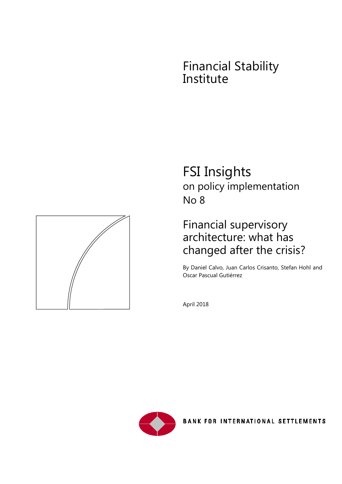# Financial Stability Institute



# Financial supervisory architecture: what has changed after the crisis?

By Daniel Calvo, Juan Carlos Crisanto, Stefan Hohl and Oscar Pascual Gutiérrez

April 2018



BANK FOR INTERNATIONAL SETTLEMENTS

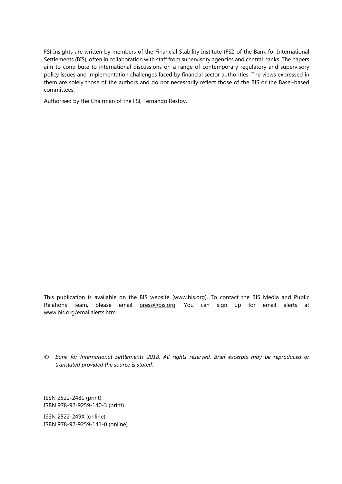FSI Insights are written by members of the Financial Stability Institute (FSI) of the Bank for International Settlements (BIS), often in collaboration with staff from supervisory agencies and central banks. The papers aim to contribute to international discussions on a range of contemporary regulatory and supervisory policy issues and implementation challenges faced by financial sector authorities. The views expressed in them are solely those of the authors and do not necessarily reflect those of the BIS or the Basel-based committees.

Authorised by the Chairman of the FSI, Fernando Restoy.

This publication is available on the BIS website [\(www.bis.org\)](http://www.bis.org/). To contact the BIS Media and Public Relations team, please email [press@bis.org.](mailto:press@bis.org) You can sign up for email alerts at [www.bis.org/emailalerts.htm.](http://www.bis.org/emailalerts.htm)

*© Bank for International Settlements 2018. All rights reserved. Brief excerpts may be reproduced or translated provided the source is stated.*

ISSN 2522-2481 (print) ISBN 978-92-9259-140-3 (print)

ISSN 2522-249X (online) ISBN 978-92-9259-141-0 (online)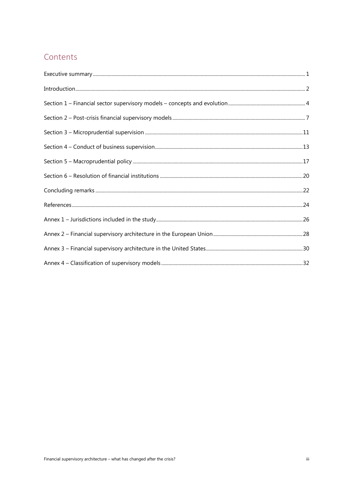## Contents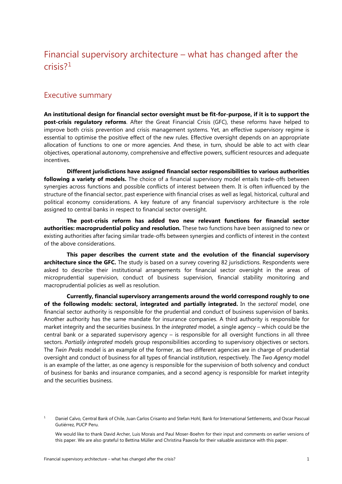# Financial supervisory architecture – what has changed after the crisis?[1](#page-3-1)

### <span id="page-3-0"></span>Executive summary

**An institutional design for financial sector oversight must be fit-for-purpose, if it is to support the post-crisis regulatory reforms**. After the Great Financial Crisis (GFC), these reforms have helped to improve both crisis prevention and crisis management systems. Yet, an effective supervisory regime is essential to optimise the positive effect of the new rules. Effective oversight depends on an appropriate allocation of functions to one or more agencies. And these, in turn, should be able to act with clear objectives, operational autonomy, comprehensive and effective powers, sufficient resources and adequate incentives.

**Different jurisdictions have assigned financial sector responsibilities to various authorities following a variety of models.** The choice of a financial supervisory model entails trade-offs between synergies across functions and possible conflicts of interest between them. It is often influenced by the structure of the financial sector, past experience with financial crises as well as legal, historical, cultural and political economy considerations. A key feature of any financial supervisory architecture is the role assigned to central banks in respect to financial sector oversight.

**The post-crisis reform has added two new relevant functions for financial sector authorities: macroprudential policy and resolution.** These two functions have been assigned to new or existing authorities after facing similar trade-offs between synergies and conflicts of interest in the context of the above considerations.

**This paper describes the current state and the evolution of the financial supervisory architecture since the GFC.** The study is based on a survey covering 82 jurisdictions. Respondents were asked to describe their institutional arrangements for financial sector oversight in the areas of microprudential supervision, conduct of business supervision, financial stability monitoring and macroprudential policies as well as resolution.

**Currently, financial supervisory arrangements around the world correspond roughly to one of the following models: sectoral, integrated and partially integrated.** In the *sectoral* model, one financial sector authority is responsible for the prudential and conduct of business supervision of banks. Another authority has the same mandate for insurance companies. A third authority is responsible for market integrity and the securities business. In the *integrated* model*,* a single agency – which could be the central bank or a separated supervisory agency – is responsible for all oversight functions in all three sectors. *Partially integrated* models group responsibilities according to supervisory objectives or sectors. The *Twin Peaks* model is an example of the former, as two different agencies are in charge of prudential oversight and conduct of business for all types of financial institution, respectively. The *Two Agency* model is an example of the latter, as one agency is responsible for the supervision of both solvency and conduct of business for banks and insurance companies, and a second agency is responsible for market integrity and the securities business.

<span id="page-3-1"></span><sup>&</sup>lt;sup>1</sup> Daniel Calvo, Central Bank of Chile, Juan Carlos Crisanto and Stefan Hohl, Bank for International Settlements, and Oscar Pascual Gutiérrez, PUCP Peru.

We would like to thank David Archer, Luis Morais and Paul Moser-Boehm for their input and comments on earlier versions of this paper. We are also grateful to Bettina Müller and Christina Paavola for their valuable assistance with this paper.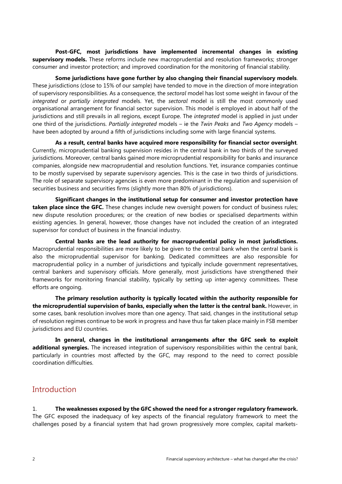**Post-GFC, most jurisdictions have implemented incremental changes in existing supervisory models.** These reforms include new macroprudential and resolution frameworks; stronger consumer and investor protection; and improved coordination for the monitoring of financial stability.

**Some jurisdictions have gone further by also changing their financial supervisory models**. These jurisdictions (close to 15% of our sample) have tended to move in the direction of more integration of supervisory responsibilities. As a consequence, the *sectoral* model has lost some weight in favour of the *integrated* or *partially integrated* models. Yet, the *sectoral* model is still the most commonly used organisational arrangement for financial sector supervision. This model is employed in about half of the jurisdictions and still prevails in all regions, except Europe. The *integrated* model is applied in just under one third of the jurisdictions. *Partially integrated* models – ie the *Twin Peaks* and *Two Agency* models – have been adopted by around a fifth of jurisdictions including some with large financial systems.

**As a result, central banks have acquired more responsibility for financial sector oversight**. Currently, microprudential banking supervision resides in the central bank in two thirds of the surveyed jurisdictions. Moreover, central banks gained more microprudential responsibility for banks and insurance companies, alongside new macroprudential and resolution functions. Yet, insurance companies continue to be mostly supervised by separate supervisory agencies. This is the case in two thirds of jurisdictions. The role of separate supervisory agencies is even more predominant in the regulation and supervision of securities business and securities firms (slightly more than 80% of jurisdictions).

**Significant changes in the institutional setup for consumer and investor protection have taken place since the GFC.** These changes include new oversight powers for conduct of business rules; new dispute resolution procedures; or the creation of new bodies or specialised departments within existing agencies. In general, however, those changes have not included the creation of an integrated supervisor for conduct of business in the financial industry.

**Central banks are the lead authority for macroprudential policy in most jurisdictions.**  Macroprudential responsibilities are more likely to be given to the central bank when the central bank is also the microprudential supervisor for banking. Dedicated committees are also responsible for macroprudential policy in a number of jurisdictions and typically include government representatives, central bankers and supervisory officials. More generally, most jurisdictions have strengthened their frameworks for monitoring financial stability, typically by setting up inter-agency committees. These efforts are ongoing.

**The primary resolution authority is typically located within the authority responsible for the microprudential supervision of banks, especially when the latter is the central bank.** However, in some cases, bank resolution involves more than one agency. That said, changes in the institutional setup of resolution regimes continue to be work in progress and have thus far taken place mainly in FSB member jurisdictions and EU countries.

**In general, changes in the institutional arrangements after the GFC seek to exploit additional synergies.** The increased integration of supervisory responsibilities within the central bank, particularly in countries most affected by the GFC, may respond to the need to correct possible coordination difficulties.

### <span id="page-4-0"></span>**Introduction**

1. **The weaknesses exposed by the GFC showed the need for a stronger regulatory framework.** The GFC exposed the inadequacy of key aspects of the financial regulatory framework to meet the challenges posed by a financial system that had grown progressively more complex, capital markets-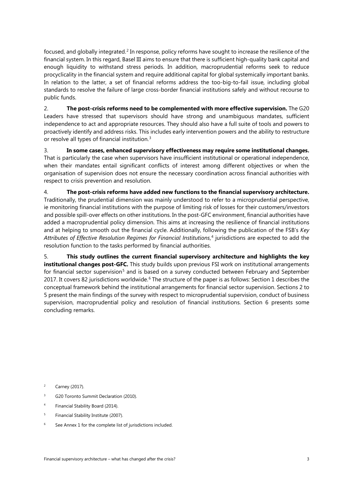<span id="page-5-4"></span>focused, and globally integrated. [2](#page-5-0) In response, policy reforms have sought to increase the resilience of the financial system. In this regard, Basel III aims to ensure that there is sufficient high-quality bank capital and enough liquidity to withstand stress periods. In addition, macroprudential reforms seek to reduce procyclicality in the financial system and require additional capital for global systemically important banks. In relation to the latter, a set of financial reforms address the too-big-to-fail issue, including global standards to resolve the failure of large cross-border financial institutions safely and without recourse to public funds.

2. **The post-crisis reforms need to be complemented with more effective supervision.** The G20 Leaders have stressed that supervisors should have strong and unambiguous mandates, sufficient independence to act and appropriate resources. They should also have a full suite of tools and powers to proactively identify and address risks. This includes early intervention powers and the ability to restructure or resolve all types of financial institution.[3](#page-5-1)

3. **In some cases, enhanced supervisory effectiveness may require some institutional changes.**  That is particularly the case when supervisors have insufficient institutional or operational independence, when their mandates entail significant conflicts of interest among different objectives or when the organisation of supervision does not ensure the necessary coordination across financial authorities with respect to crisis prevention and resolution.

4. **The post-crisis reforms have added new functions to the financial supervisory architecture.** Traditionally, the prudential dimension was mainly understood to refer to a microprudential perspective, ie monitoring financial institutions with the purpose of limiting risk of losses for their customers/investors and possible spill-over effects on other institutions. In the post-GFC environment, financial authorities have added a macroprudential policy dimension. This aims at increasing the resilience of financial institutions and at helping to smooth out the financial cycle. Additionally, following the publication of the FSB's *Key Attributes of Effective Resolution Regimes for Financial Institutions*, [4](#page-5-2) jurisdictions are expected to add the resolution function to the tasks performed by financial authorities.

5. **This study outlines the current financial supervisory architecture and highlights the key institutional changes post-GFC.** This study builds upon previous FSI work on institutional arrangements for financial sector supervision<sup>[5](#page-5-3)</sup> and is based on a survey conducted between February and September 2017. It covers 82 jurisdictions worldwide.<sup>[6](#page-5-4)</sup> The structure of the paper is as follows: Section 1 describes the conceptual framework behind the institutional arrangements for financial sector supervision. Sections 2 to 5 present the main findings of the survey with respect to microprudential supervision, conduct of business supervision, macroprudential policy and resolution of financial institutions. Section 6 presents some concluding remarks.

<span id="page-5-0"></span><sup>2</sup> Carney (2017).

- <span id="page-5-1"></span><sup>3</sup> G20 Toronto Summit Declaration (2010).
- <span id="page-5-2"></span><sup>4</sup> Financial Stability Board (2014).
- <span id="page-5-3"></span><sup>5</sup> Financial Stability Institute (2007).
- <sup>6</sup> See Annex 1 for the complete list of jurisdictions included.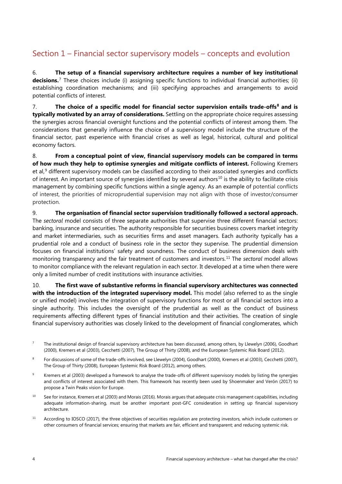## <span id="page-6-4"></span><span id="page-6-0"></span>Section 1 – Financial sector supervisory models – concepts and evolution

6. **The setup of a financial supervisory architecture requires a number of key institutional decisions.**[7](#page-6-1) These choices include (i) assigning specific functions to individual financial authorities; (ii) establishing coordination mechanisms; and (iii) specifying approaches and arrangements to avoid potential conflicts of interest.

7. **The choice of a specific model for financial sector supervision entails trade-offs[8](#page-6-2) and is typically motivated by an array of considerations.** Settling on the appropriate choice requires assessing the synergies across financial oversight functions and the potential conflicts of interest among them. The considerations that generally influence the choice of a supervisory model include the structure of the financial sector, past experience with financial crises as well as legal, historical, cultural and political economy factors.

8. **From a conceptual point of view, financial supervisory models can be compared in terms of how much they help to optimise synergies and mitigate conflicts of interest.** Following Kremers et al,<sup>[9](#page-6-3)</sup> different supervisory models can be classified according to their associated synergies and conflicts of interest. An important source of synergies identified by several authors<sup>[10](#page-6-4)</sup> is the ability to facilitate crisis management by combining specific functions within a single agency. As an example of potential conflicts of interest, the priorities of microprudential supervision may not align with those of investor/consumer protection.

9. **The organisation of financial sector supervision traditionally followed a sectoral approach.** The *sectoral* model consists of three separate authorities that supervise three different financial sectors: banking, insurance and securities. The authority responsible for securities business covers market integrity and market intermediaries, such as securities firms and asset managers. Each authority typically has a prudential role and a conduct of business role in the sector they supervise. The prudential dimension focuses on financial institutions' safety and soundness. The conduct of business dimension deals with monitoring transparency and the fair treatment of customers and investors.[11](#page-6-5) The *sectoral* model allows to monitor compliance with the relevant regulation in each sector. It developed at a time when there were only a limited number of credit institutions with insurance activities.

10. **The first wave of substantive reforms in financial supervisory architectures was connected with the introduction of the integrated supervisory model.** This model (also referred to as the single or unified model) involves the integration of supervisory functions for most or all financial sectors into a single authority. This includes the oversight of the prudential as well as the conduct of business requirements affecting different types of financial institution and their activities. The creation of single financial supervisory authorities was closely linked to the development of financial conglomerates, which

- <span id="page-6-3"></span><sup>9</sup> Kremers et al (2003) developed a framework to analyse the trade-offs of different supervisory models by listing the synergies and conflicts of interest associated with them. This framework has recently been used by Shoenmaker and Verón (2017) to propose a Twin Peaks vision for Europe.
- <sup>10</sup> See for instance, Kremers et al (2003) and Morais (2016). Morais argues that adequate crisis management capabilities, including adequate information-sharing, must be another important post-GFC consideration in setting up financial supervisory architecture.
- <span id="page-6-5"></span><sup>11</sup> According to IOSCO (2017), the three objectives of securities regulation are protecting investors, which include customers or other consumers of financial services; ensuring that markets are fair, efficient and transparent; and reducing systemic risk.

<span id="page-6-1"></span><sup>&</sup>lt;sup>7</sup> The institutional design of financial supervisory architecture has been discussed, among others, by Llewelyn (2006), Goodhart (2000), Kremers et al (2003), Cecchetti (2007), The Group of Thirty (2008), and the European Systemic Risk Board (2012).

<span id="page-6-2"></span><sup>&</sup>lt;sup>8</sup> For discussions of some of the trade-offs involved, see Llewelyn (2004), Goodhart (2000), Kremers et al (2003), Cecchetti (2007), The Group of Thirty (2008), European Systemic Risk Board (2012), among others.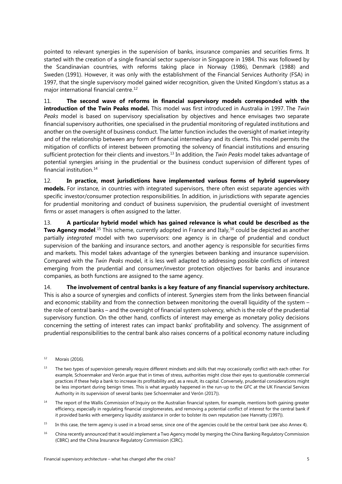<span id="page-7-2"></span>pointed to relevant synergies in the supervision of banks, insurance companies and securities firms. It started with the creation of a single financial sector supervisor in Singapore in 1984. This was followed by the Scandinavian countries, with reforms taking place in Norway (1986), Denmark (1988) and Sweden (1991). However, it was only with the establishment of the Financial Services Authority (FSA) in 1997, that the single supervisory model gained wider recognition, given the United Kingdom's status as a major international financial centre.<sup>[12](#page-7-0)</sup>

11. **The second wave of reforms in financial supervisory models corresponded with the introduction of the Twin Peaks model.** This model was first introduced in Australia in 1997. The *Twin Peaks* model is based on supervisory specialisation by objectives and hence envisages two separate financial supervisory authorities, one specialised in the prudential monitoring of regulated institutions and another on the oversight of business conduct. The latter function includes the oversight of market integrity and of the relationship between any form of financial intermediary and its clients. This model permits the mitigation of conflicts of interest between promoting the solvency of financial institutions and ensuring sufficient protection for their clients and investors.[13](#page-7-1) In addition, the *Twin Peaks* model takes advantage of potential synergies arising in the prudential or the business conduct supervision of different types of financial institution.[14](#page-7-2)

12. **In practice, most jurisdictions have implemented various forms of hybrid supervisory models.** For instance, in countries with integrated supervisors, there often exist separate agencies with specific investor/consumer protection responsibilities. In addition, in jurisdictions with separate agencies for prudential monitoring and conduct of business supervision, the prudential oversight of investment firms or asset managers is often assigned to the latter.

13. **A particular hybrid model which has gained relevance is what could be described as the Two Agency model**.<sup>[15](#page-7-3)</sup> This scheme, currently adopted in France and Italy,<sup>[16](#page-7-2)</sup> could be depicted as another partially *integrated* model with two supervisors: one agency is in charge of prudential and conduct supervision of the banking and insurance sectors, and another agency is responsible for securities firms and markets. This model takes advantage of the synergies between banking and insurance supervision. Compared with the *Twin Peaks* model, it is less well adapted to addressing possible conflicts of interest emerging from the prudential and consumer/investor protection objectives for banks and insurance companies, as both functions are assigned to the same agency.

14. **The involvement of central banks is a key feature of any financial supervisory architecture.**  This is also a source of synergies and conflicts of interest. Synergies stem from the links between financial and economic stability and from the connection between monitoring the overall liquidity of the system – the role of central banks – and the oversight of financial system solvency, which is the role of the prudential supervisory function. On the other hand, conflicts of interest may emerge as monetary policy decisions concerning the setting of interest rates can impact banks' profitability and solvency. The assignment of prudential responsibilities to the central bank also raises concerns of a political economy nature including

- <span id="page-7-0"></span><sup>12</sup> Morais (2016).
- <span id="page-7-1"></span><sup>13</sup> The two types of supervision generally require different mindsets and skills that may occasionally conflict with each other. For example, Schoenmaker and Verón argue that in times of stress, authorities might close their eyes to questionable commercial practices if these help a bank to increase its profitability and, as a result, its capital. Conversely, prudential considerations might be less important during benign times. This is what arguably happened in the run-up to the GFC at the UK Financial Services Authority in its supervision of several banks (see Schoenmaker and Verón (2017)).
- <sup>14</sup> The report of the Wallis Commission of Inquiry on the Australian financial system, for example, mentions both gaining greater efficiency, especially in regulating financial conglomerates, and removing a potential conflict of interest for the central bank if it provided banks with emergency liquidity assistance in order to bolster its own reputation (see Hanratty (1997)).
- <span id="page-7-3"></span><sup>15</sup> In this case, the term agency is used in a broad sense, since one of the agencies could be the central bank (see also Annex 4).
- <sup>16</sup> China recently announced that it would implement a Two Agency model by merging the China Banking Regulatory Commission (CBRC) and the China Insurance Regulatory Commission (CIRC).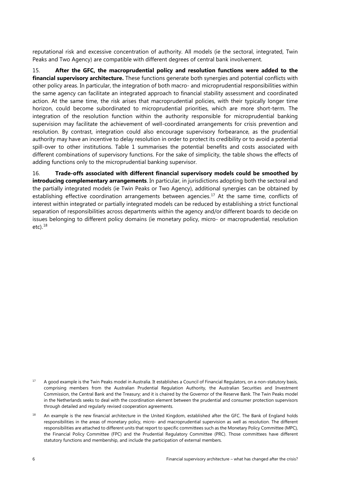<span id="page-8-1"></span>reputational risk and excessive concentration of authority. All models (ie the sectoral, integrated, Twin Peaks and Two Agency) are compatible with different degrees of central bank involvement.

15. **After the GFC, the macroprudential policy and resolution functions were added to the financial supervisory architecture.** These functions generate both synergies and potential conflicts with other policy areas. In particular, the integration of both macro- and microprudential responsibilities within the same agency can facilitate an integrated approach to financial stability assessment and coordinated action. At the same time, the risk arises that macroprudential policies, with their typically longer time horizon, could become subordinated to microprudential priorities, which are more short-term. The integration of the resolution function within the authority responsible for microprudential banking supervision may facilitate the achievement of well-coordinated arrangements for crisis prevention and resolution. By contrast, integration could also encourage supervisory forbearance, as the prudential authority may have an incentive to delay resolution in order to protect its credibility or to avoid a potential spill-over to other institutions. Table 1 summarises the potential benefits and costs associated with different combinations of supervisory functions. For the sake of simplicity, the table shows the effects of adding functions only to the microprudential banking supervisor.

16. **Trade-offs associated with different financial supervisory models could be smoothed by introducing complementary arrangements**. In particular, in jurisdictions adopting both the sectoral and the partially integrated models (ie Twin Peaks or Two Agency), additional synergies can be obtained by establishing effective coordination arrangements between agencies.<sup>[17](#page-8-0)</sup> At the same time, conflicts of interest within integrated or partially integrated models can be reduced by establishing a strict functional separation of responsibilities across departments within the agency and/or different boards to decide on issues belonging to different policy domains (ie monetary policy, micro- or macroprudential, resolution  $etc$ ).  $18$ 

<span id="page-8-0"></span><sup>&</sup>lt;sup>17</sup> A good example is the Twin Peaks model in Australia. It establishes a Council of Financial Regulators, on a non-statutory basis, comprising members from the Australian Prudential Regulation Authority, the Australian Securities and Investment Commission, the Central Bank and the Treasury; and it is chaired by the Governor of the Reserve Bank. The Twin Peaks model in the Netherlands seeks to deal with the coordination element between the prudential and consumer protection supervisors through detailed and regularly revised cooperation agreements.

<sup>&</sup>lt;sup>18</sup> An example is the new financial architecture in the United Kingdom, established after the GFC. The Bank of England holds responsibilities in the areas of monetary policy, micro- and macroprudential supervision as well as resolution. The different responsibilities are attached to different units that report to specific committees such as the Monetary Policy Committee (MPC), the Financial Policy Committee (FPC) and the Prudential Regulatory Committee (PRC). Those committees have different statutory functions and membership, and include the participation of external members.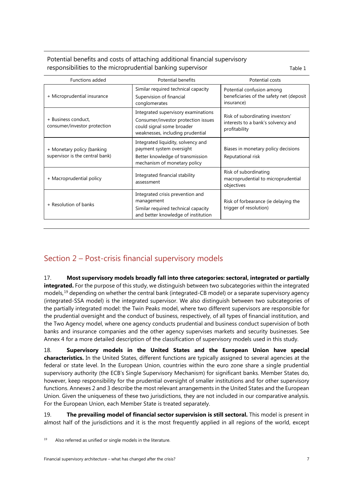#### Potential benefits and costs of attaching additional financial supervisory responsibilities to the microprudential banking supervisor Theorem Table 1

| <b>Functions added</b>                                        | <b>Potential benefits</b>                                                                                                                   | Potential costs                                                                         |
|---------------------------------------------------------------|---------------------------------------------------------------------------------------------------------------------------------------------|-----------------------------------------------------------------------------------------|
| + Microprudential insurance                                   | Similar required technical capacity<br>Supervision of financial<br>conglomerates                                                            | Potential confusion among<br>beneficiaries of the safety net (deposit<br>insurance)     |
| + Business conduct,<br>consumer/investor protection           | Integrated supervisory examinations<br>Consumer/investor protection issues<br>could signal some broader<br>weaknesses, including prudential | Risk of subordinating investors'<br>interests to a bank's solvency and<br>profitability |
| + Monetary policy (banking<br>supervisor is the central bank) | Integrated liquidity, solvency and<br>payment system oversight<br>Better knowledge of transmission<br>mechanism of monetary policy          | Biases in monetary policy decisions<br>Reputational risk                                |
| + Macroprudential policy                                      | Integrated financial stability<br>assessment                                                                                                | Risk of subordinating<br>macroprudential to microprudential<br>objectives               |
| + Resolution of banks                                         | Integrated crisis prevention and<br>management<br>Similar required technical capacity<br>and better knowledge of institution                | Risk of forbearance (ie delaying the<br>trigger of resolution)                          |

# <span id="page-9-0"></span>Section 2 – Post-crisis financial supervisory models

17. **Most supervisory models broadly fall into three categories: sectoral, integrated or partially integrated.** For the purpose of this study, we distinguish between two subcategories within the integrated models, [19](#page-9-1) depending on whether the central bank (integrated-CB model) or a separate supervisory agency (integrated-SSA model) is the integrated supervisor. We also distinguish between two subcategories of the partially integrated model: the Twin Peaks model, where two different supervisors are responsible for the prudential oversight and the conduct of business, respectively, of all types of financial institution, and the Two Agency model, where one agency conducts prudential and business conduct supervision of both banks and insurance companies and the other agency supervises markets and security businesses. See Annex 4 for a more detailed description of the classification of supervisory models used in this study.

18. **Supervisory models in the United States and the European Union have special characteristics.** In the United States, different functions are typically assigned to several agencies at the federal or state level. In the European Union, countries within the euro zone share a single prudential supervisory authority (the ECB's Single Supervisory Mechanism) for significant banks. Member States do, however, keep responsibility for the prudential oversight of smaller institutions and for other supervisory functions. Annexes 2 and 3 describe the most relevant arrangements in the United States and the European Union. Given the uniqueness of these two jurisdictions, they are not included in our comparative analysis. For the European Union, each Member State is treated separately.

19. **The prevailing model of financial sector supervision is still sectoral.** This model is present in almost half of the jurisdictions and it is the most frequently applied in all regions of the world, except

<span id="page-9-1"></span> $19$  Also referred as unified or single models in the literature.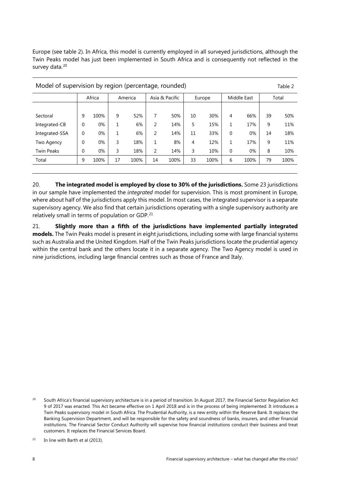Europe (see table 2). In Africa, this model is currently employed in all surveyed jurisdictions, although the Twin Peaks model has just been implemented in South Africa and is consequently not reflected in the survey data. [20](#page-10-0)

| Model of supervision by region (percentage, rounded)<br>Table 2 |             |       |         |      |                |      |        |      |             |      |       |      |
|-----------------------------------------------------------------|-------------|-------|---------|------|----------------|------|--------|------|-------------|------|-------|------|
|                                                                 | Africa      |       | America |      | Asia & Pacific |      | Europe |      | Middle East |      | Total |      |
|                                                                 |             |       |         |      |                |      |        |      |             |      |       |      |
| Sectoral                                                        | 9           | 100%  | 9       | 52%  | 7              | 50%  | 10     | 30%  | 4           | 66%  | 39    | 50%  |
| Integrated-CB                                                   | $\mathbf 0$ | 0%    | 1       | 6%   | 2              | 14%  | 5      | 15%  | 1           | 17%  | 9     | 11%  |
| Integrated-SSA                                                  | $\theta$    | $0\%$ | 1       | 6%   | 2              | 14%  | 11     | 33%  | 0           | 0%   | 14    | 18%  |
| Two Agency                                                      | $\mathbf 0$ | $0\%$ | 3       | 18%  | 1              | 8%   | 4      | 12%  | 1           | 17%  | 9     | 11%  |
| <b>Twin Peaks</b>                                               | $\mathbf 0$ | $0\%$ | 3       | 18%  | $\overline{2}$ | 14%  | 3      | 10%  | 0           | 0%   | 8     | 10%  |
| Total                                                           | 9           | 100%  | 17      | 100% | 14             | 100% | 33     | 100% | 6           | 100% | 79    | 100% |
|                                                                 |             |       |         |      |                |      |        |      |             |      |       |      |

20. **The integrated model is employed by close to 30% of the jurisdictions.** Some 23 jurisdictions in our sample have implemented the *integrated* model for supervision. This is most prominent in Europe, where about half of the jurisdictions apply this model. In most cases, the integrated supervisor is a separate supervisory agency. We also find that certain jurisdictions operating with a single supervisory authority are relatively small in terms of population or GDP.<sup>[21](#page-10-1)</sup>

21. **Slightly more than a fifth of the jurisdictions have implemented partially integrated models.** The Twin Peaks model is present in eight jurisdictions, including some with large financial systems such as Australia and the United Kingdom. Half of the Twin Peaks jurisdictions locate the prudential agency within the central bank and the others locate it in a separate agency. The Two Agency model is used in nine jurisdictions, including large financial centres such as those of France and Italy.

<span id="page-10-0"></span><sup>&</sup>lt;sup>20</sup> South Africa's financial supervisory architecture is in a period of transition. In August 2017, the Financial Sector Regulation Act 9 of 2017 was enacted. This Act became effective [on 1 April 2018](detected://date/2) and is in the process of being implemented. It introduces a Twin Peaks supervisory model in South Africa. The Prudential Authority, is a new entity within the Reserve Bank. It replaces the Banking Supervision Department, and will be responsible for the safety and soundness of banks, insurers, and other financial institutions. The Financial Sector Conduct Authority will supervise how financial institutions conduct their business and treat customers. It replaces the Financial Services Board.

<span id="page-10-1"></span> $21$  In line with Barth et al (2013).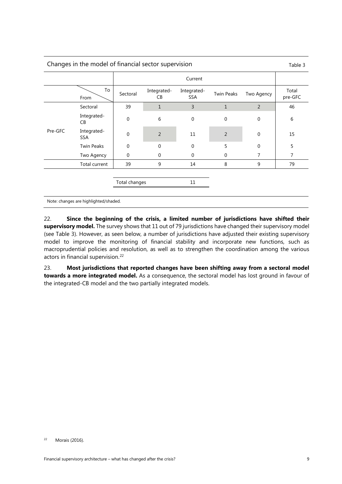| Changes in the model of financial sector supervision |                           |               |                   |                           |                   |                  |                  |  |  |
|------------------------------------------------------|---------------------------|---------------|-------------------|---------------------------|-------------------|------------------|------------------|--|--|
|                                                      |                           |               | Current           |                           |                   |                  |                  |  |  |
|                                                      | To<br>From                | Sectoral      | Integrated-<br>CB | Integrated-<br><b>SSA</b> | <b>Twin Peaks</b> | Two Agency       | Total<br>pre-GFC |  |  |
|                                                      | Sectoral                  | 39            | $\mathbf{1}$      | 3                         | $\mathbf{1}$      | $\overline{2}$   | 46               |  |  |
| Pre-GFC                                              | Integrated-<br>CB         | 0             | 6                 | $\mathbf 0$               | $\mathbf 0$       | $\boldsymbol{0}$ | 6                |  |  |
|                                                      | Integrated-<br><b>SSA</b> | $\mathbf 0$   | $\overline{2}$    | 11                        | $\overline{2}$    | $\mathbf 0$      | 15               |  |  |
|                                                      | <b>Twin Peaks</b>         | $\Omega$      | $\overline{0}$    | $\Omega$                  | 5                 | $\mathbf 0$      | 5                |  |  |
|                                                      | Two Agency                | 0             | 0                 | $\Omega$                  | 0                 | 7                | 7                |  |  |
|                                                      | Total current             | 39            | 9                 | 14                        | 8                 | 9                | 79               |  |  |
|                                                      |                           |               |                   |                           |                   |                  |                  |  |  |
|                                                      |                           | Total changes |                   |                           |                   |                  |                  |  |  |
|                                                      |                           |               |                   |                           |                   |                  |                  |  |  |

Note: changes are highlighted/shaded.

22. **Since the beginning of the crisis, a limited number of jurisdictions have shifted their supervisory model.** The survey shows that 11 out of 79 jurisdictions have changed their supervisory model (see Table 3). However, as seen below, a number of jurisdictions have adjusted their existing supervisory model to improve the monitoring of financial stability and incorporate new functions, such as macroprudential policies and resolution, as well as to strengthen the coordination among the various actors in financial supervision.<sup>[22](#page-11-0)</sup>

23. **Most jurisdictions that reported changes have been shifting away from a sectoral model towards a more integrated model.** As a consequence, the sectoral model has lost ground in favour of the integrated-CB model and the two partially integrated models.

<span id="page-11-0"></span><sup>22</sup> Morais (2016).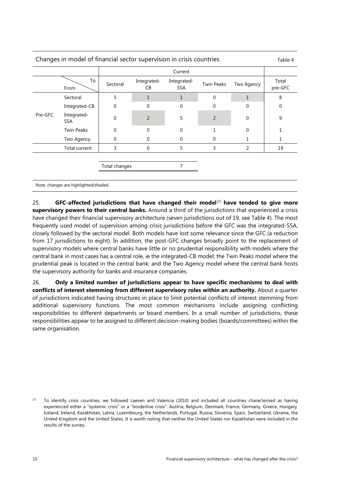| Changes in model of financial sector supervision in crisis countries |                           |               |                   |                           |                   |              |                  |  |  |
|----------------------------------------------------------------------|---------------------------|---------------|-------------------|---------------------------|-------------------|--------------|------------------|--|--|
|                                                                      |                           |               | Current           |                           |                   |              |                  |  |  |
|                                                                      | To<br>From                | Sectoral      | Integrated-<br>CB | Integrated-<br><b>SSA</b> | <b>Twin Peaks</b> | Two Agency   | Total<br>pre-GFC |  |  |
|                                                                      | Sectoral                  | 5             | 1                 | 1                         | 0                 | $\mathbf{1}$ | 8                |  |  |
|                                                                      | Integrated-CB             | $\mathbf 0$   | $\mathbf 0$       | $\Omega$                  | 0                 | 0            | 0                |  |  |
| Pre-GFC                                                              | Integrated-<br><b>SSA</b> | $\Omega$      | $\overline{2}$    | 5                         | $\overline{2}$    | 0            | 9                |  |  |
|                                                                      | <b>Twin Peaks</b>         | 0             | $\mathbf 0$       | $\Omega$                  |                   | $\Omega$     |                  |  |  |
|                                                                      | Two Agency                | 0             | 0                 | 0                         | 0                 |              |                  |  |  |
|                                                                      | Total current             | 3             | 6                 | 5                         | 3                 | 2            | 19               |  |  |
|                                                                      |                           |               |                   |                           |                   |              |                  |  |  |
|                                                                      |                           | Total changes |                   |                           |                   |              |                  |  |  |
|                                                                      |                           |               |                   |                           |                   |              |                  |  |  |

Note: changes are highlighted/shaded.

25. **GFC-affected jurisdictions that have changed their model**[23](#page-12-0) **have tended to give more supervisory powers to their central banks.** Around a third of the jurisdictions that experienced a crisis have changed their financial supervisory architecture (seven jurisdictions out of 19, see Table 4). The most frequently used model of supervision among crisis jurisdictions before the GFC was the integrated-SSA, closely followed by the sectoral model. Both models have lost some relevance since the GFC (a reduction from 17 jurisdictions to eight). In addition, the post-GFC changes broadly point to the replacement of supervisory models where central banks have little or no prudential responsibility with models where the central bank in most cases has a central role, ie the integrated-CB model; the Twin Peaks model where the prudential peak is located in the central bank; and the Two Agency model where the central bank hosts the supervisory authority for banks and insurance companies.

26. **Only a limited number of jurisdictions appear to have specific mechanisms to deal with conflicts of interest stemming from different supervisory roles within an authority.** About a quarter of jurisdictions indicated having structures in place to limit potential conflicts of interest stemming from additional supervisory functions. The most common mechanisms include assigning conflicting responsibilities to different departments or board members. In a small number of jurisdictions, these responsibilities appear to be assigned to different decision-making bodies (boards/committees) within the same organisation.

<span id="page-12-0"></span><sup>&</sup>lt;sup>23</sup> To identify crisis countries, we followed Laeven and Valencia (2010) and included all countries characterised as having experienced either a "systemic crisis" or a "borderline crisis": Austria, Belgium, Denmark, France, Germany, Greece, Hungary, Iceland, Ireland, Kazakhstan, Latvia, Luxembourg, the Netherlands, Portugal, Russia, Slovenia, Spain, Switzerland, Ukraine, the United Kingdom and the United States. It is worth noting that neither the United States nor Kazakhstan were included in the results of the survey.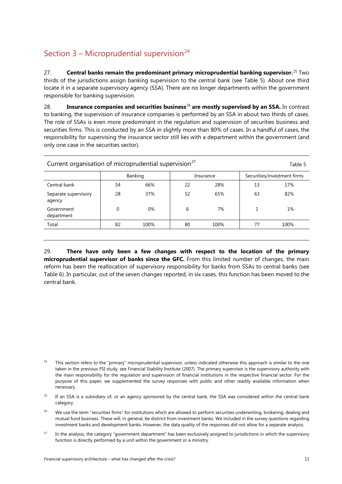# <span id="page-13-0"></span>Section  $3 -$  Microprudential supervision<sup>[24](#page-13-1)</sup>

27. **Central banks remain the predominant primary microprudential banking supervisor.** [25](#page-13-2) Two thirds of the jurisdictions assign banking supervision to the central bank (see Table 5). About one third locate it in a separate supervisory agency (SSA). There are no longer departments within the government responsible for banking supervision.

28. **Insurance companies and securities business**[26](#page-13-3) **are mostly supervised by an SSA.** In contrast to banking, the supervision of insurance companies is performed by an SSA in about two thirds of cases. The role of SSAs is even more predominant in the regulation and supervision of securities business and securities firms. This is conducted by an SSA in slightly more than 80% of cases. In a handful of cases, the responsibility for supervising the insurance sector still lies with a department within the government (and only one case in the securities sector).

| Current organisation of microprudential supervision <sup>27</sup><br>Table 5 |          |         |    |           |    |                             |  |  |
|------------------------------------------------------------------------------|----------|---------|----|-----------|----|-----------------------------|--|--|
|                                                                              |          | Banking |    | Insurance |    | Securities/investment firms |  |  |
| Central bank                                                                 | 54       | 66%     | 22 | 28%       | 13 | 17%                         |  |  |
| Separate supervisory<br>agency                                               | 28       | 37%     | 52 | 65%       | 63 | 82%                         |  |  |
| Government<br>department                                                     | $\Omega$ | 0%      | 6  | 7%        |    | 1%                          |  |  |
| Total                                                                        | 82       | 100%    | 80 | 100%      | 77 | 100%                        |  |  |
|                                                                              |          |         |    |           |    |                             |  |  |

29. **There have only been a few changes with respect to the location of the primary microprudential supervisor of banks since the GFC.** From this limited number of changes, the main reform has been the reallocation of supervisory responsibility for banks from SSAs to central banks (see Table 6). In particular, out of the seven changes reported, in six cases, this function has been moved to the central bank.

<span id="page-13-2"></span><sup>25</sup> If an SSA is a subsidiary of, or an agency sponsored by the central bank, the SSA was considered within the central bank category.

- <span id="page-13-3"></span><sup>26</sup> We use the term "securities firms" for institutions which are allowed to perform securities underwriting, brokering, dealing and mutual fund business. These will, in general, be distinct from investment banks. We included in the survey questions regarding investment banks and development banks. However, the data quality of the responses did not allow for a separate analysis.
- <span id="page-13-4"></span><sup>27</sup> In the analysis, the category "government department" has been exclusively assigned to jurisdictions in which the supervisory function is directly performed by a unit within the government or a ministry.

<span id="page-13-1"></span>This section refers to the "primary" microprudential supervisor, unless indicated otherwise this approach is similar to the one taken in the previous FSI study, see Financial Stability Institute (2007). The primary supervisor is the supervisory authority with the main responsibility for the regulation and supervision of financial institutions in the respective financial sector. For the purpose of this paper, we supplemented the survey responses with public and other readily available information when necessary.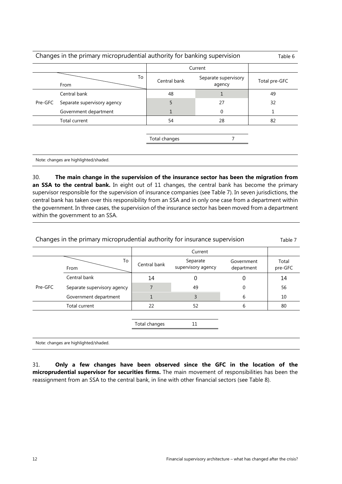|         | Changes in the primary microprudential authority for banking supervision |                                      |         |               |  |  |  |  |
|---------|--------------------------------------------------------------------------|--------------------------------------|---------|---------------|--|--|--|--|
|         |                                                                          |                                      | Current |               |  |  |  |  |
|         | To<br>From                                                               | Separate supervisory<br>Central bank |         | Total pre-GFC |  |  |  |  |
|         | Central bank                                                             | 48<br>1                              |         | 49            |  |  |  |  |
| Pre-GFC | Separate supervisory agency                                              | 5                                    | 27      | 32            |  |  |  |  |
|         | Government department                                                    |                                      | 0       | 1             |  |  |  |  |
|         | Total current                                                            | 54                                   | 28      | 82            |  |  |  |  |
|         |                                                                          |                                      |         |               |  |  |  |  |
|         |                                                                          | 7<br>Total changes                   |         |               |  |  |  |  |
|         |                                                                          |                                      |         |               |  |  |  |  |
|         | Note: changes are highlighted/shaded.                                    |                                      |         |               |  |  |  |  |

30. **The main change in the supervision of the insurance sector has been the migration from**  an SSA to the central bank. In eight out of 11 changes, the central bank has become the primary supervisor responsible for the supervision of insurance companies (see Table 7). In seven jurisdictions, the central bank has taken over this responsibility from an SSA and in only one case from a department within the government. In three cases, the supervision of the insurance sector has been moved from a department within the government to an SSA.

|         | Changes in the primary microprudential authority for insurance supervision |               |                                |                          |                  |  |  |  |  |
|---------|----------------------------------------------------------------------------|---------------|--------------------------------|--------------------------|------------------|--|--|--|--|
|         |                                                                            |               | Current                        |                          |                  |  |  |  |  |
|         | To<br>From                                                                 | Central bank  | Separate<br>supervisory agency | Government<br>department | Total<br>pre-GFC |  |  |  |  |
|         | Central bank                                                               | 14            | 0                              | 0                        | 14               |  |  |  |  |
| Pre-GFC | Separate supervisory agency                                                | 7             | 49                             | 0                        | 56               |  |  |  |  |
|         | Government department                                                      | 1             | 3                              | 6                        | 10               |  |  |  |  |
|         | Total current                                                              | 22            | 52                             | 6                        | 80               |  |  |  |  |
|         |                                                                            |               |                                |                          |                  |  |  |  |  |
|         |                                                                            | Total changes | 11                             |                          |                  |  |  |  |  |
|         |                                                                            |               |                                |                          |                  |  |  |  |  |
|         | Note: changes are highlighted/shaded.                                      |               |                                |                          |                  |  |  |  |  |

31. **Only a few changes have been observed since the GFC in the location of the microprudential supervisor for securities firms.** The main movement of responsibilities has been the reassignment from an SSA to the central bank, in line with other financial sectors (see Table 8).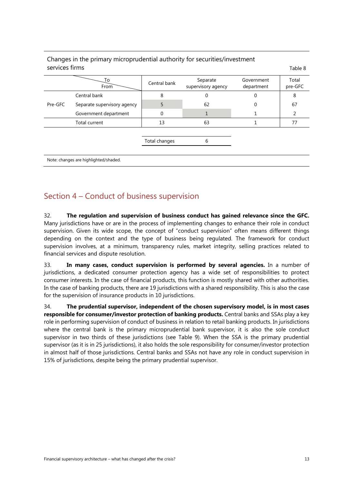| services firms |                                       |               |                                |                          | Table 8          |
|----------------|---------------------------------------|---------------|--------------------------------|--------------------------|------------------|
|                | To<br>From                            | Central bank  | Separate<br>supervisory agency | Government<br>department | Total<br>pre-GFC |
|                | Central bank                          | 8             | 0                              |                          | 8                |
| Pre-GFC        | Separate supervisory agency           | 5             | 62                             | 0                        | 67               |
|                | Government department                 | 0             |                                |                          | 2                |
|                | Total current                         | 13            | 63                             |                          | 77               |
|                |                                       |               |                                |                          |                  |
|                |                                       | Total changes | 6                              |                          |                  |
|                |                                       |               |                                |                          |                  |
|                | Note: changes are highlighted/shaded. |               |                                |                          |                  |

# Changes in the primary microprudential authority for securities/investment

### <span id="page-15-0"></span>Section 4 – Conduct of business supervision

32. **The regulation and supervision of business conduct has gained relevance since the GFC.**  Many jurisdictions have or are in the process of implementing changes to enhance their role in conduct supervision. Given its wide scope, the concept of "conduct supervision" often means different things depending on the context and the type of business being regulated. The framework for conduct supervision involves, at a minimum, transparency rules, market integrity, selling practices related to financial services and dispute resolution.

33. **In many cases, conduct supervision is performed by several agencies.** In a number of jurisdictions, a dedicated consumer protection agency has a wide set of responsibilities to protect consumer interests. In the case of financial products, this function is mostly shared with other authorities. In the case of banking products, there are 19 jurisdictions with a shared responsibility. This is also the case for the supervision of insurance products in 10 jurisdictions.

34. **The prudential supervisor, independent of the chosen supervisory model, is in most cases responsible for consumer/investor protection of banking products.** Central banks and SSAs play a key role in performing supervision of conduct of business in relation to retail banking products. In jurisdictions where the central bank is the primary microprudential bank supervisor, it is also the sole conduct supervisor in two thirds of these jurisdictions (see Table 9). When the SSA is the primary prudential supervisor (as it is in 25 jurisdictions), it also holds the sole responsibility for consumer/investor protection in almost half of those jurisdictions. Central banks and SSAs not have any role in conduct supervision in 15% of jurisdictions, despite being the primary prudential supervisor.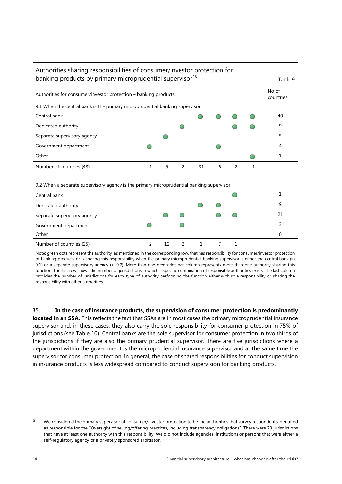| Authorities sharing responsibilities of consumer/investor protection for                 |   |    |   |    |   |   |   |         |  |
|------------------------------------------------------------------------------------------|---|----|---|----|---|---|---|---------|--|
| banking products by primary microprudential supervisor <sup>28</sup>                     |   |    |   |    |   |   |   | Table 9 |  |
| Authorities for consumer/investor protection – banking products                          |   |    |   |    |   |   |   |         |  |
| 9.1 When the central bank is the primary microprudential banking supervisor              |   |    |   |    |   |   |   |         |  |
| Central bank                                                                             |   |    |   |    |   |   |   | 40      |  |
| Dedicated authority                                                                      |   |    |   |    |   |   |   | 9       |  |
| Separate supervisory agency                                                              |   |    |   |    |   |   |   | 5       |  |
| Government department                                                                    |   |    |   |    |   |   |   | 4       |  |
| Other                                                                                    |   |    |   |    |   |   |   | 1       |  |
| Number of countries (48)                                                                 | 1 | 5  | 2 | 31 | 6 | 2 | 1 |         |  |
|                                                                                          |   |    |   |    |   |   |   |         |  |
| 9.2 When a separate supervisory agency is the primary microprudential banking supervisor |   |    |   |    |   |   |   |         |  |
| Central bank                                                                             |   |    |   |    |   |   |   | 1       |  |
| Dedicated authority                                                                      |   |    |   |    |   |   |   | 9       |  |
| Separate supervisory agency                                                              |   |    |   |    |   |   |   | 21      |  |
| Government department                                                                    |   |    |   |    |   |   |   | 3       |  |
| Other                                                                                    |   |    |   |    |   |   |   | 0       |  |
| Number of countries (25)                                                                 | 2 | 12 | 2 | 1  | 7 | 1 |   |         |  |

Note: green dots represent the authority, as mentioned in the corresponding row, that has responsibility for consumer/investor protection of banking products or is sharing this responsibility when the primary microprudential banking supervisor is either the central bank (in 9.1) or a separate supervisory agency (in 9.2). More than one green dot per column represents more than one authority sharing this function. The last row shows the number of jurisdictions in which a specific combination of responsible authorities exists. The last column provides the number of jurisdictions for each type of authority performing the function either with sole responsibility or sharing the responsibility with other authorities.

35. **In the case of insurance products, the supervision of consumer protection is predominantly** 

**located in an SSA.** This reflects the fact that SSAs are in most cases the primary microprudential insurance supervisor and, in these cases, they also carry the sole responsibility for consumer protection in 75% of jurisdictions (see Table 10). Central banks are the sole supervisor for consumer protection in two thirds of the jurisdictions if they are also the primary prudential supervisor. There are five jurisdictions where a department within the government is the microprudential insurance supervisor and at the same time the supervisor for consumer protection. In general, the case of shared responsibilities for conduct supervision in insurance products is less widespread compared to conduct supervision for banking products.

<span id="page-16-0"></span><sup>&</sup>lt;sup>28</sup> We considered the primary supervisor of consumer/investor protection to be the authorities that survey respondents identified as responsible for the "Oversight of selling/offering practices, including transparency obligations". There were 73 jurisdictions that have at least one authority with this responsibility. We did not include agencies, institutions or persons that were either a self-regulatory agency or a privately sponsored arbitrator.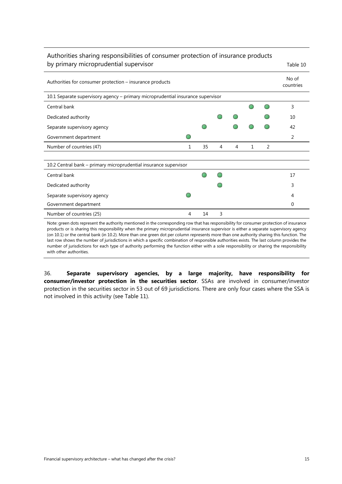#### Authorities sharing responsibilities of consumer protection of insurance products by primary microprudential supervisor and the state of the Table 10

| Authorities for consumer protection – insurance products                        |   |    |   |   |              |   |    |  |  |  |
|---------------------------------------------------------------------------------|---|----|---|---|--------------|---|----|--|--|--|
| 10.1 Separate supervisory agency - primary microprudential insurance supervisor |   |    |   |   |              |   |    |  |  |  |
| Central bank                                                                    |   |    |   |   |              |   | 3  |  |  |  |
| Dedicated authority                                                             |   |    |   |   |              |   | 10 |  |  |  |
| Separate supervisory agency                                                     |   |    |   |   |              |   | 42 |  |  |  |
| Government department                                                           |   |    |   |   |              |   | 2  |  |  |  |
| Number of countries (47)                                                        | 1 | 35 | 4 | 4 | $\mathbf{1}$ | 2 |    |  |  |  |
|                                                                                 |   |    |   |   |              |   |    |  |  |  |
| 10.2 Central bank - primary microprudential insurance supervisor                |   |    |   |   |              |   |    |  |  |  |
| Central bank                                                                    |   |    |   |   |              |   | 17 |  |  |  |
| Dedicated authority                                                             |   |    |   |   |              |   | 3  |  |  |  |
| Separate supervisory agency                                                     |   |    |   |   |              |   | 4  |  |  |  |
| Government department                                                           |   |    |   |   |              |   | 0  |  |  |  |
| Number of countries (25)                                                        | 4 | 14 | 3 |   |              |   |    |  |  |  |

Note: green dots represent the authority mentioned in the corresponding row that has responsibility for consumer protection of insurance products or is sharing this responsibility when the primary microprudential insurance supervisor is either a separate supervisory agency (on 10.1) or the central bank (in 10.2). More than one green dot per column represents more than one authority sharing this function. The last row shows the number of jurisdictions in which a specific combination of responsible authorities exists. The last column provides the number of jurisdictions for each type of authority performing the function either with a sole responsibility or sharing the responsibility with other authorities.

36. **Separate supervisory agencies, by a large majority, have responsibility for consumer/investor protection in the securities sector**. SSAs are involved in consumer/investor protection in the securities sector in 53 out of 69 jurisdictions. There are only four cases where the SSA is not involved in this activity (see Table 11).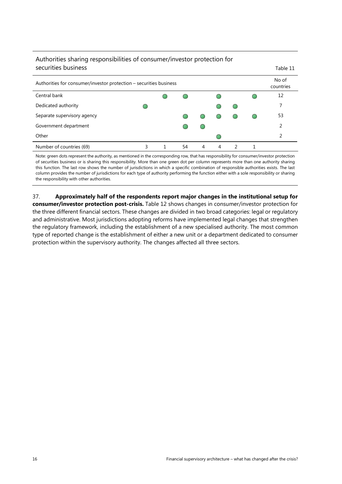| Authorities sharing responsibilities of consumer/investor protection for |   |  |    |   |   |   |  |                    |
|--------------------------------------------------------------------------|---|--|----|---|---|---|--|--------------------|
| securities business                                                      |   |  |    |   |   |   |  | Table 11           |
| Authorities for consumer/investor protection – securities business       |   |  |    |   |   |   |  | No of<br>countries |
| Central bank                                                             |   |  |    |   |   |   |  | 12                 |
| Dedicated authority                                                      |   |  |    |   |   |   |  | 7                  |
| Separate supervisory agency                                              |   |  |    |   |   |   |  | 53                 |
| Government department                                                    |   |  |    |   |   |   |  | 2                  |
| Other                                                                    |   |  |    |   |   |   |  | 2                  |
| Number of countries (69)                                                 | 3 |  | 54 | 4 | 4 | C |  |                    |

Note: green dots represent the authority, as mentioned in the corresponding row, that has responsibility for consumer/investor protection of securities business or is sharing this responsibility. More than one green dot per column represents more than one authority sharing this function. The last row shows the number of jurisdictions in which a specific combination of responsible authorities exists. The last column provides the number of jurisdictions for each type of authority performing the function either with a sole responsibility or sharing the responsibility with other authorities.

37. **Approximately half of the respondents report major changes in the institutional setup for consumer/investor protection post-crisis.** Table 12 shows changes in consumer/investor protection for the three different financial sectors. These changes are divided in two broad categories: legal or regulatory and administrative. Most jurisdictions adopting reforms have implemented legal changes that strengthen the regulatory framework, including the establishment of a new specialised authority. The most common type of reported change is the establishment of either a new unit or a department dedicated to consumer protection within the supervisory authority. The changes affected all three sectors.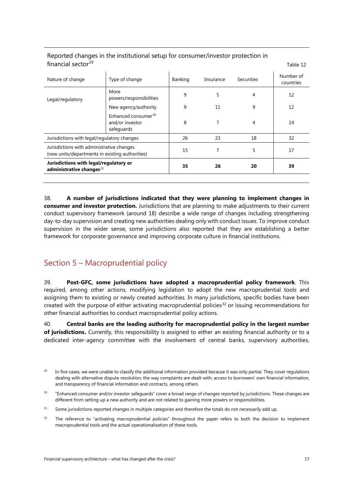| Nature of change                                                                             | Type of change                                                   | <b>Banking</b> | Insurance | Securities | Number of<br>countries |
|----------------------------------------------------------------------------------------------|------------------------------------------------------------------|----------------|-----------|------------|------------------------|
| Legal/regulatory                                                                             | More<br>powers/responsibilities                                  | 9              | 5         | 4          | 12                     |
|                                                                                              | New agency/authority                                             | 9              | 11        | 9          | 12                     |
|                                                                                              | Enhanced consumer <sup>30</sup><br>and/or investor<br>safeguards | 8              |           | 4          | 14                     |
| Jurisdictions with legal/regulatory changes                                                  |                                                                  | 26             | 23        | 18         | 32                     |
| Jurisdictions with administrative changes<br>(new units/departments in existing authorities) |                                                                  | 15             | 7         | 5          | 17                     |
| Jurisdictions with legal/regulatory or<br>administrative changes $31$                        |                                                                  | 35             | 26        | 20         | 39                     |

#### Reported changes in the institutional setup for consumer/investor protection in  $f$ inancial sector<sup>[29](#page-19-1)</sup> Table 12

38. **A number of jurisdictions indicated that they were planning to implement changes in consumer and investor protection.** Jurisdictions that are planning to make adjustments to their current conduct supervisory framework (around 18) describe a wide range of changes including strengthening day-to-day supervision and creating new authorities dealing only with conduct issues. To improve conduct supervision in the wider sense, some jurisdictions also reported that they are establishing a better framework for corporate governance and improving corporate culture in financial institutions.

### <span id="page-19-0"></span>Section 5 – Macroprudential policy

39. **Post-GFC, some jurisdictions have adopted a macroprudential policy framework**. This required, among other actions, modifying legislation to adopt the new macroprudential tools and assigning them to existing or newly created authorities. In many jurisdictions, specific bodies have been created with the purpose of either activating macroprudential policies<sup>[32](#page-19-4)</sup> or issuing recommendations for other financial authorities to conduct macroprudential policy actions.

40. **Central banks are the leading authority for macroprudential policy in the largest number of jurisdictions.** Currently, this responsibility is assigned to either an existing financial authority or to a dedicated inter-agency committee with the involvement of central banks, supervisory authorities,

<span id="page-19-1"></span>In five cases, we were unable to classify the additional information provided because it was only partial. They cover regulations dealing with alternative dispute resolution; the way complaints are dealt with; access to borrowers' own financial information; and transparency of financial information and contracts, among others.

<span id="page-19-2"></span><sup>&</sup>lt;sup>30</sup> "Enhanced consumer and/or investor safeguards" cover a broad range of changes reported by jurisdictions. These changes are different from setting up a new authority and are not related to gaining more powers or responsibilities.

<span id="page-19-3"></span><sup>&</sup>lt;sup>31</sup> Some jurisdictions reported changes in multiple categories and therefore the totals do not necessarily add up.

<span id="page-19-4"></span><sup>&</sup>lt;sup>32</sup> The reference to "activating macroprudential policies" throughout the paper refers to both the decision to implement macroprudential tools and the actual operationalisation of these tools.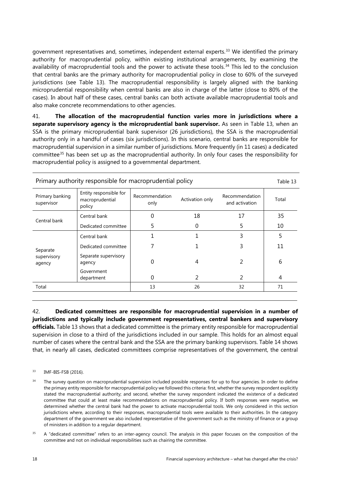government representatives and, sometimes, independent external experts. [33](#page-20-0) We identified the primary authority for macroprudential policy, within existing institutional arrangements, by examining the availability of macroprudential tools and the power to activate these tools.<sup>[34](#page-20-1)</sup> This led to the conclusion that central banks are the primary authority for macroprudential policy in close to 60% of the surveyed jurisdictions (see Table 13). The macroprudential responsibility is largely aligned with the banking microprudential responsibility when central banks are also in charge of the latter (close to 80% of the cases). In about half of these cases, central banks can both activate available macroprudential tools and also make concrete recommendations to other agencies.

41. **The allocation of the macroprudential function varies more in jurisdictions where a separate supervisory agency is the microprudential bank supervisor.** As seen in Table 13, when an SSA is the primary microprudential bank supervisor (26 jurisdictions), the SSA is the macroprudential authority only in a handful of cases (six jurisdictions). In this scenario, central banks are responsible for macroprudential supervision in a similar number of jurisdictions. More frequently (in 11 cases) a dedicated committee[35](#page-20-2) has been set up as the macroprudential authority. In only four cases the responsibility for macroprudential policy is assigned to a governmental department.

| Entity responsible for<br>Recommendation<br>Primary banking<br>Recommendation<br>Activation only<br>Total<br>macroprudential<br>and activation<br>only<br>supervisor<br>policy | Table 13 |
|--------------------------------------------------------------------------------------------------------------------------------------------------------------------------------|----------|
|                                                                                                                                                                                |          |
| 35<br>18<br>17<br>Central bank<br>Central bank                                                                                                                                 |          |
| 10<br>5<br>5<br>0<br>Dedicated committee                                                                                                                                       |          |
| 3<br>5<br>Central bank                                                                                                                                                         |          |
| 3<br>11<br>Dedicated committee<br>Separate                                                                                                                                     |          |
| Separate supervisory<br>supervisory<br>6<br>2<br>0<br>4<br>agency<br>agency                                                                                                    |          |
| Government<br>2<br>2<br>0<br>4<br>department                                                                                                                                   |          |
| 32<br>71<br>13<br>26<br>Total                                                                                                                                                  |          |

42. **Dedicated committees are responsible for macroprudential supervision in a number of jurisdictions and typically include government representatives, central bankers and supervisory officials.** Table 13 shows that a dedicated committee is the primary entity responsible for macroprudential supervision in close to a third of the jurisdictions included in our sample. This holds for an almost equal number of cases where the central bank and the SSA are the primary banking supervisors. Table 14 shows that, in nearly all cases, dedicated committees comprise representatives of the government, the central

- <span id="page-20-0"></span><sup>33</sup> IMF-BIS-FSB (2016).
- <span id="page-20-1"></span><sup>34</sup> The survey question on macroprudential supervision included possible responses for up to four agencies. In order to define the primary entity responsible for macroprudential policy we followed this criteria: first, whether the survey respondent explicitly stated the macroprudential authority; and second, whether the survey respondent indicated the existence of a dedicated committee that could at least make recommendations on macroprudential policy. If both responses were negative, we determined whether the central bank had the power to activate macroprudential tools. We only considered in this section jurisdictions where, according to their responses, macroprudential tools were available to their authorities. In the category department of the government we also included representative of the government such as the ministry of finance or a group of ministers in addition to a regular department.
- <span id="page-20-2"></span><sup>35</sup> A "dedicated committee" refers to an inter-agency council. The analysis in this paper focuses on the composition of the committee and not on individual responsibilities such as chairing the committee.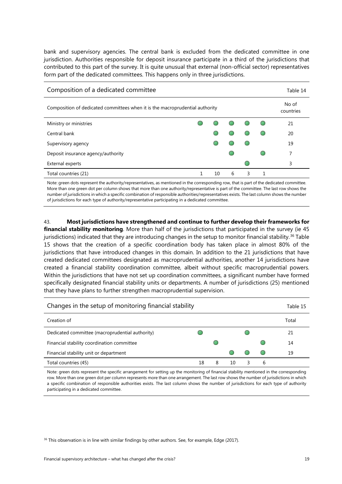bank and supervisory agencies. The central bank is excluded from the dedicated committee in one jurisdiction. Authorities responsible for deposit insurance participate in a third of the jurisdictions that contributed to this part of the survey. It is quite unusual that external (non-official sector) representatives form part of the dedicated committees. This happens only in three jurisdictions.

| Composition of a dedicated committee                                         |  |    |   |   |  |    |  |
|------------------------------------------------------------------------------|--|----|---|---|--|----|--|
| Composition of dedicated committees when it is the macroprudential authority |  |    |   |   |  |    |  |
| Ministry or ministries                                                       |  |    |   |   |  | 21 |  |
| Central bank                                                                 |  |    |   |   |  | 20 |  |
| Supervisory agency                                                           |  |    |   |   |  | 19 |  |
| Deposit insurance agency/authority                                           |  |    |   |   |  | 7  |  |
| External experts                                                             |  |    |   |   |  | 3  |  |
| Total countries (21)                                                         |  | 10 | 6 | 3 |  |    |  |

Note: green dots represent the authority/representatives, as mentioned in the corresponding row, that is part of the dedicated committee. More than one green dot per column shows that more than one authority/representative is part of the committee. The last row shows the number of jurisdictions in which a specific combination of responsible authorities/representatives exists. The last column shows the number of jurisdictions for each type of authority/representative participating in a dedicated committee.

43. **Most jurisdictions have strengthened and continue to further develop their frameworks for financial stability monitoring**. More than half of the jurisdictions that participated in the survey (ie 45 jurisdictions) indicated that they are introducing changes in the setup to monitor financial stability.<sup>[36](#page-21-0)</sup> Table 15 shows that the creation of a specific coordination body has taken place in almost 80% of the jurisdictions that have introduced changes in this domain. In addition to the 21 jurisdictions that have created dedicated committees designated as macroprudential authorities, another 14 jurisdictions have created a financial stability coordination committee, albeit without specific macroprudential powers. Within the jurisdictions that have not set up coordination committees, a significant number have formed specifically designated financial stability units or departments. A number of jurisdictions (25) mentioned that they have plans to further strengthen macroprudential supervision.

| Changes in the setup of monitoring financial stability |    |   |    |   |   |       |
|--------------------------------------------------------|----|---|----|---|---|-------|
| Creation of                                            |    |   |    |   |   | Total |
| Dedicated committee (macroprudential authority)        |    |   |    |   |   | 21    |
| Financial stability coordination committee             |    |   |    |   |   | 14    |
| Financial stability unit or department                 |    |   |    |   |   | 19    |
| Total countries (45)                                   | 18 | 8 | 10 | З | 6 |       |

Note: green dots represent the specific arrangement for setting up the monitoring of financial stability mentioned in the corresponding row. More than one green dot per column represents more than one arrangement. The last row shows the number of jurisdictions in which a specific combination of responsible authorities exists. The last column shows the number of jurisdictions for each type of authority participating in a dedicated committee.

<span id="page-21-0"></span><sup>36</sup> This observation is in line with similar findings by other authors. See, for example, Edge (2017).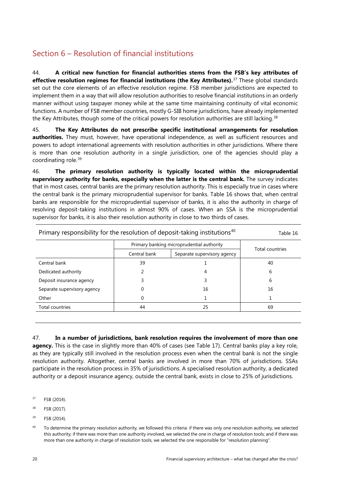# <span id="page-22-2"></span><span id="page-22-0"></span>Section 6 – Resolution of financial institutions

44. **A critical new function for financial authorities stems from the FSB's key attributes of effective resolution regimes for financial institutions (the Key Attributes).** [37](#page-22-1) These global standards set out the core elements of an effective resolution regime. FSB member jurisdictions are expected to implement them in a way that will allow resolution authorities to resolve financial institutions in an orderly manner without using taxpayer money while at the same time maintaining continuity of vital economic functions. A number of FSB member countries, mostly G-SIB home jurisdictions, have already implemented the Key Attributes, though some of the critical powers for resolution authorities are still lacking.<sup>[38](#page-22-2)</sup>

45. **The Key Attributes do not prescribe specific institutional arrangements for resolution authorities.** They must, however, have operational independence, as well as sufficient resources and powers to adopt international agreements with resolution authorities in other jurisdictions. Where there is more than one resolution authority in a single jurisdiction, one of the agencies should play a coordinating role.[39](#page-22-3)

46. **The primary resolution authority is typically located within the microprudential supervisory authority for banks, especially when the latter is the central bank.** The survey indicates that in most cases, central banks are the primary resolution authority. This is especially true in cases where the central bank is the primary microprudential supervisor for banks. Table 16 shows that, when central banks are responsible for the microprudential supervisor of banks, it is also the authority in charge of resolving deposit-taking institutions in almost 90% of cases. When an SSA is the microprudential supervisor for banks, it is also their resolution authority in close to two thirds of cases.

| Primary responsibility for the resolution of deposit-taking institutions <sup>40</sup> | Table 16     |                             |                 |
|----------------------------------------------------------------------------------------|--------------|-----------------------------|-----------------|
|                                                                                        |              |                             |                 |
|                                                                                        | Central bank | Separate supervisory agency | Total countries |
| Central bank                                                                           | 39           |                             | 40              |
| Dedicated authority                                                                    |              | 4                           | 6               |
| Deposit insurance agency                                                               |              |                             | 6               |
| Separate supervisory agency                                                            |              | 16                          | 16              |
| Other                                                                                  | 0            |                             |                 |
| Total countries                                                                        | 44           | 25                          | 69              |

47. **In a number of jurisdictions, bank resolution requires the involvement of more than one agency.** This is the case in slightly more than 40% of cases (see Table 17). Central banks play a key role, as they are typically still involved in the resolution process even when the central bank is not the single resolution authority. Altogether, central banks are involved in more than 70% of jurisdictions. SSAs participate in the resolution process in 35% of jurisdictions. A specialised resolution authority, a dedicated authority or a deposit insurance agency, outside the central bank, exists in close to 25% of jurisdictions.

- <span id="page-22-1"></span><sup>37</sup> FSB (2014).
- <sup>38</sup> FSB (2017).
- <span id="page-22-3"></span><sup>39</sup> FSB (2014).
- <span id="page-22-4"></span><sup>40</sup> To determine the primary resolution authority, we followed this criteria: if there was only one resolution authority, we selected this authority; if there was more than one authority involved, we selected the one in charge of resolution tools; and if there was more than one authority in charge of resolution tools, we selected the one responsible for "resolution planning".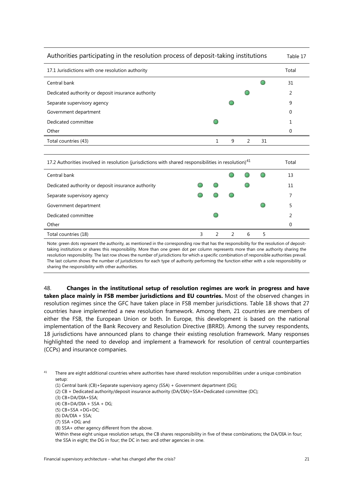| Authorities participating in the resolution process of deposit-taking institutions |   |   |               |    |       |  |  |
|------------------------------------------------------------------------------------|---|---|---------------|----|-------|--|--|
| 17.1 Jurisdictions with one resolution authority                                   |   |   |               |    | Total |  |  |
| Central bank                                                                       |   |   |               |    | 31    |  |  |
| Dedicated authority or deposit insurance authority                                 |   |   |               |    | 2     |  |  |
| Separate supervisory agency                                                        |   |   |               |    | 9     |  |  |
| Government department                                                              |   |   |               |    | 0     |  |  |
| Dedicated committee                                                                |   |   |               |    |       |  |  |
| Other                                                                              |   |   |               |    | 0     |  |  |
| Total countries (43)                                                               | 1 | 9 | $\mathcal{P}$ | 31 |       |  |  |
|                                                                                    |   |   |               |    |       |  |  |

| 17.2 Authorities involved in resolution (jurisdictions with shared responsibilities in resolution) <sup>41</sup> |  |  |  |   |  |    |  |  |
|------------------------------------------------------------------------------------------------------------------|--|--|--|---|--|----|--|--|
| Central bank                                                                                                     |  |  |  |   |  | 13 |  |  |
| Dedicated authority or deposit insurance authority                                                               |  |  |  |   |  | 11 |  |  |
| Separate supervisory agency                                                                                      |  |  |  |   |  |    |  |  |
| Government department                                                                                            |  |  |  |   |  |    |  |  |
| Dedicated committee                                                                                              |  |  |  |   |  | າ  |  |  |
| Other                                                                                                            |  |  |  |   |  |    |  |  |
| Total countries (18)                                                                                             |  |  |  | 6 |  |    |  |  |

Note: green dots represent the authority, as mentioned in the corresponding row that has the responsibility for the resolution of deposittaking institutions or shares this responsibility. More than one green dot per column represents more than one authority sharing the resolution responsibility. The last row shows the number of jurisdictions for which a specific combination of responsible authorities prevail. The last column shows the number of jurisdictions for each type of authority performing the function either with a sole responsibility or sharing the responsibility with other authorities.

48. **Changes in the institutional setup of resolution regimes are work in progress and have taken place mainly in FSB member jurisdictions and EU countries.** Most of the observed changes in resolution regimes since the GFC have taken place in FSB member jurisdictions. Table 18 shows that 27 countries have implemented a new resolution framework. Among them, 21 countries are members of either the FSB, the European Union or both. In Europe, this development is based on the national implementation of [the Bank Recovery and Resolution Directive](http://europa.eu/rapid/press-release_MEMO-14-297_en.htm) (BRRD). Among the survey respondents, 18 jurisdictions have announced plans to change their existing resolution framework. Many responses highlighted the need to develop and implement a framework for resolution of central counterparties (CCPs) and insurance companies.

<span id="page-23-0"></span><sup>41</sup> There are eight additional countries where authorities have shared resolution responsibilities under a unique combination setup:

- (1) Central bank (CB)+Separate supervisory agency (SSA) + Government department (DG);
- (2) CB + Dedicated authority/deposit insurance authority (DA/DIA)+SSA+Dedicated committee (DC);
- (3) CB+DA/DIA+SSA;
- $(4)$  CB+DA/DIA + SSA + DG;
- (5) CB+SSA +DG+DC;
- (6) DA/DIA + SSA;
- (7) SSA +DG; and
- (8) SSA+ other agency different from the above.
- Within these eight unique resolution setups, the CB shares responsibility in five of these combinations; the DA/DIA in four; the SSA in eight; the DG in four; the DC in two: and other agencies in one.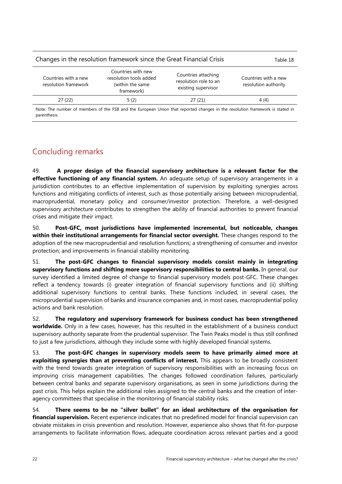#### Changes in the resolution framework since the Great Financial Crisis Table 18 Countries with a new resolution framework Countries with new resolution tools added (within the same framework) Countries attaching resolution role to an existing supervisor Countries with a new resolution authority 27 (22) 5 (2) 27 (21) 4 (4)

Note: The number of members of the FSB and the European Union that reported changes in the resolution framework is stated in parenthesis.

# <span id="page-24-0"></span>Concluding remarks

49. **A proper design of the financial supervisory architecture is a relevant factor for the effective functioning of any financial system.** An adequate setup of supervisory arrangements in a jurisdiction contributes to an effective implementation of supervision by exploiting synergies across functions and mitigating conflicts of interest, such as those potentially arising between microprudential, macroprudential, monetary policy and consumer/investor protection. Therefore, a well-designed supervisory architecture contributes to strengthen the ability of financial authorities to prevent financial crises and mitigate their impact.

50. **Post-GFC, most jurisdictions have implemented incremental, but noticeable, changes within their institutional arrangements for financial sector oversight.** These changes respond to the adoption of the new macroprudential and resolution functions; a strengthening of consumer and investor protection; and improvements in financial stability monitoring.

51. **The post-GFC changes to financial supervisory models consist mainly in integrating supervisory functions and shifting more supervisory responsibilities to central banks.** In general, our survey identified a limited degree of change to financial supervisory models post-GFC. These changes reflect a tendency towards (i) greater integration of financial supervisory functions and (ii) shifting additional supervisory functions to central banks. These functions included, in several cases, the microprudential supervision of banks and insurance companies and, in most cases, macroprudential policy actions and bank resolution.

52. **The regulatory and supervisory framework for business conduct has been strengthened worldwide.** Only in a few cases, however, has this resulted in the establishment of a business conduct supervisory authority separate from the prudential supervisor. The Twin Peaks model is thus still confined to just a few jurisdictions, although they include some with highly developed financial systems.

53. **The post-GFC changes in supervisory models seem to have primarily aimed more at exploiting synergies than at preventing conflicts of interest.** This appears to be broadly consistent with the trend towards greater integration of supervisory responsibilities with an increasing focus on improving crisis management capabilities. The changes followed coordination failures, particularly between central banks and separate supervisory organisations, as seen in some jurisdictions during the past crisis. This helps explain the additional roles assigned to the central banks and the creation of interagency committees that specialise in the monitoring of financial stability risks.

54. **There seems to be no "silver bullet" for an ideal architecture of the organisation for financial supervision.** Recent experience indicates that no predefined model for financial supervision can obviate mistakes in crisis prevention and resolution. However, experience also shows that fit-for-purpose arrangements to facilitate information flows, adequate coordination across relevant parties and a good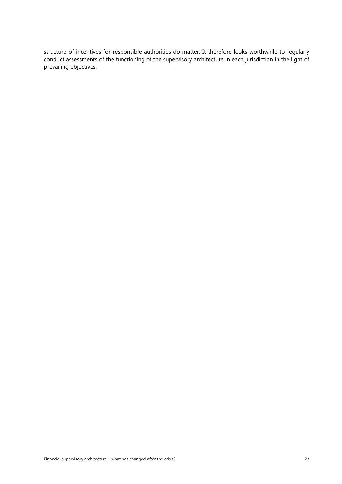structure of incentives for responsible authorities do matter. It therefore looks worthwhile to regularly conduct assessments of the functioning of the supervisory architecture in each jurisdiction in the light of prevailing objectives.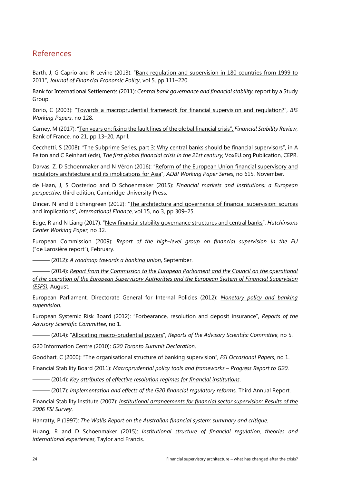### <span id="page-26-0"></span>References

Barth, J, G Caprio and R Levine (2013): "Bank [regulation and supervision in 180 countries from 1999 to](http://www.nber.org/papers/w18733)  [2011"](http://www.nber.org/papers/w18733), *Journal of Financial Economic Policy*, vol 5, pp 111–220.

Bank for International Settlements (2011): *[Central bank governance and financial stability](https://www.bis.org/publ/othp14.htm)*, report by a Study Group.

Borio, C (2003): ["Towards a macroprudential framework for financial supervision and regulation?"](https://www.bis.org/publ/work128.htm), *BIS Working Papers*, no 128.

Carney, M (2017): ["Ten years on: fixing the fault lines of the global financial crisis"](http://www.fsb.org/wp-content/uploads/BdF-Financial-Stability-Review.pdf), *Financial Stability Review*, Bank of France, no 21, pp 13–20, April.

Cecchetti, S (2008): "[The Subprime Series, part 3: Why central banks should be financial supervisors"](https://voxeu.org/article/subprime-series-part-3-why-central-banks-should-be-financial-supervisors), in A Felton and C Reinhart (eds), *The first global financial crisis in the 21st century*, VoxEU.org Publication, CEPR.

Darvas, Z, D Schoenmaker and N Véron (2016): "Reform of the European Union financial supervisory and [regulatory architecture and its implications for Asia"](http://bruegel.org/wp-content/uploads/2016/11/WP_09_16.pdf), *ADBI Working Paper Series*, no 615, November.

de Haan, J, S Oosterloo and D Schoenmaker (2015): *Financial markets and institutions: a European perspective*, third edition, Cambridge University Press.

Dincer, N and B Eichengreen (2012): ["The architecture and governance of financial supervision: sources](http://onlinelibrary.wiley.com/doi/10.1111/j.1468-2362.2013.12002.x/abstract)  [and implications"](http://onlinelibrary.wiley.com/doi/10.1111/j.1468-2362.2013.12002.x/abstract), *International Finance*, vol 15, no 3, pp 309–25.

Edge, R and N Liang (2017): ["New financial stability governance structures and central banks"](http://www.brookings.edu/wp-content/uploads/2017/08/es_20170808_liang_newfinancialstabilitygovernancestructures.pdf), *Hutchinsons Center Working Paper*, no 32.

European Commission (2009): *[Report of the high-level group on financial supervision in the EU](https://ec.europa.eu/info/system/files/de_larosiere_report_en.pdf)* ("de Larosière report"), February.

——— (2012): *[A roadmap towards a banking union](http://eur-lex.europa.eu/legal-content/EN/TXT/?uri=CELEX%3A52012DC0510)*, September.

——— (2014): *[Report from the Commission to the European Parliament and the Council on the operational](http://ec.europa.eu/internal_market/finances/docs/committees/140808-esfs-review_en.pdf)  [of the operation of the European Supervisory Authorities and the European](http://ec.europa.eu/internal_market/finances/docs/committees/140808-esfs-review_en.pdf) System of Financial Supervision [\(ESFS\)](http://ec.europa.eu/internal_market/finances/docs/committees/140808-esfs-review_en.pdf)*, August.

European Parliament, Directorate General for Internal Policies (2012): *[Monetary policy and banking](http://www.europarl.europa.eu/document/activities/cont/201212/20121210ATT57790/20121210ATT57790EN.pdf)  [supervision.](http://www.europarl.europa.eu/document/activities/cont/201212/20121210ATT57790/20121210ATT57790EN.pdf)*

European Systemic Risk Board (2012): ["Forbearance, resolution and deposit insurance"](https://www.esrb.europa.eu/pub/pdf/asc/Reports_ASC_1_1207.pdf), *Reports of the Advisory Scientific Committee*, no 1.

——— (2014): ["Allocating macro-prudential powers"](https://www.esrb.europa.eu/pub/pdf/asc/Reports_ASC_5_1411.pdf?ee720783d65ba25f6b017935d466693e), *Reports of the Advisory Scientific Committee*, no 5.

G20 Information Centre (2010): *[G20 Toronto Summit Declaration](http://www.g20.utoronto.ca/2010/to-communique.html)*.

Goodhart, C (2000): ["The organisational structure of banking supervision"](https://www.bis.org/fsi/fsipapers01.pdf), *FSI Occasional Papers*, no 1.

Financial Stability Board (2011): *[Macroprudential policy tools and frameworks –](http://www.fsb.org/2011/10/r_111027b/) Progress Report to G20*.

——— (2014): *Key [attributes of effective resolution regimes for financial institutions](http://www.fsb.org/wp-content/uploads/r_141015.pdf)*.

——— (2017): *[Implementation and effects of the G20 financial regulatory reform](http://www.fsb.org/wp-content/uploads/P030717-2.pdf)*s, Third Annual Report.

Financial Stability Institute (2007): *[Institutional arrangements for financial sector supervision: Results of the](https://www.bis.org/fsi/fsipapers07.htm)  [2006 FSI Survey](https://www.bis.org/fsi/fsipapers07.htm)*.

Hanratty, P (1997): *[The Wallis Report on the Australian financial system: summary and critique](https://www.aph.gov.au/About_Parliament/Parliamentary_Departments/Parliamentary_Library/pubs/rp/RP9697/97rp16)*.

Huang, R and D Schoenmaker (2015): *Institutional structure of financial regulation, theories and international experiences*, Taylor and Francis.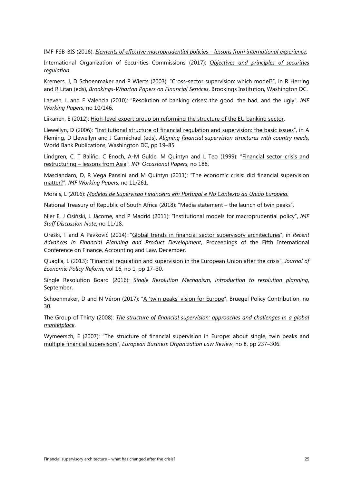IMF-FSB-BIS (2016): *[Elements of effective macroprudential policies –](https://www.imf.org/external/np/g20/pdf/2016/083116.pdf) lessons from international experience.*

International Organization of Securities Commissions (2017): *[Objectives and principles of securities](http://www.iosco.org/library/pubdocs/pdf/IOSCOPD561.pdf)  [regulation](http://www.iosco.org/library/pubdocs/pdf/IOSCOPD561.pdf)*.

Kremers, J, D Schoenmaker and P Wierts (2003): ["Cross-sector supervision: which model](https://www.researchgate.net/publication/236798262_Cross-Sector_Supervision_Which_Model)?", in R Herring and R Litan (eds), *Brookings-Wharton Papers on Financial Services*, Brookings Institution, Washington DC.

Laeven, L and F Valencia (2010): ["Resolution of banking crises: the good, the bad, and the ugly"](https://www.imf.org/external/pubs/ft/wp/2010/wp10146.pdf), *IMF Working Papers*, no 10/146.

Liikanen, E (2012): [High-level expert group on reforming the structure of](http://ec.europa.eu/internal_market/bank/docs/high-level_expert_group/report_en.pdf) the EU banking sector.

Llewellyn, D (2006): ["Institutional structure of financial regulation and supervision: the basic issues"](http://siteresources.worldbank.org/INTTOPCONF6/Resources/2057292-1162909660809/F2FlemmingLlewellyn.pdf), in A Fleming, D Llewellyn and J Carmichael (eds), *Aligning financial supervision structures with country needs*, World Bank Publications, Washington DC, pp 19–85.

Lindgren, C, T Baliño, C Enoch, A-M Gulde, M Quintyn and L Teo (1999): "Financial sector crisis and restructuring – [lessons from Asia"](https://www.imf.org/external/pubs/ft/op/opfinsec/op188.pdf), *IMF Occasional Papers*, no 188.

Masciandaro, D, R Vega Pansini and M Quintyn (2011): "The [economic crisis: did financial supervision](https://www.imf.org/external/pubs/ft/wp/2011/wp11261.pdf)  [matter?"](https://www.imf.org/external/pubs/ft/wp/2011/wp11261.pdf), *IMF Working Papers*, no 11/261.

Morais, L (2016): *[Modelos de Supervisão Financeira em Portugal e No Contexto da União Europeia](https://www.bportugal.pt/sites/default/files/anexos/pdf-boletim/livro_branco_web_en.pdf)*.

National Treasury of Republic of South Africa (2018): "Media statement – the launch of twin peaks".

Nier E, J Osiński, L Jácome, and P Madrid (2011): ["Institutional models for macroprudential policy"](https://www.imf.org/external/pubs/ft/sdn/2011/sdn1118.pdf), *IMF Staff Discussion Note*, no 11/18.

Oreški, T and A Pavković (2014): ["Global trends in financial sector supervisory architectures"](http://www.wseas.us/e-library/conferences/2014/Istanbul/FINANCE/FINANCE-08.pdf), in *Recent Advances in Financial Planning and Product Development*, Proceedings of the Fifth International Conference on Finance, Accounting and Law, December.

Quaglia, L (2013): ["Financial regulation and supervision in the European Union after the crisis"](https://pure.york.ac.uk/portal/en/publications/financial-regulation-and-supervision-in-the-european-union-after-the-crisis(a0c28220-5518-4035-a713-612bc7e8f746)/export.html), *Journal of Economic Policy Reform,* vol 16, no 1, pp 17–30.

Single Resolution Board (2016): S*[ingle Resolution Mechanism, introduction to resolution planning](https://srb.europa.eu/sites/srbsite/files/intro_resplanning.pdf.pdf)*, September.

Schoenmaker, D and N Véron (2017): ["A 'twin peaks' vision for Europe"](http://bruegel.org/wp-content/uploads/2017/11/PC-30-2017-1.pdf), Bruegel Policy Contribution, no 30.

The Group of Thirty (2008): *The [structure of financial supervision: approaches and challenges in a global](http://group30.org/images/uploads/publications/G30_StructureFinancialSupervision2008.pdf)  [marketplace](http://group30.org/images/uploads/publications/G30_StructureFinancialSupervision2008.pdf)*.

Wymeersch, E (2007): "The structure of financial supervision in Europe: about single, twin peaks and [multiple financial supervisors"](https://papers.ssrn.com/sol3/papers.cfm?abstract_id=946695), *European Business Organization Law Review*, no 8, pp 237–306.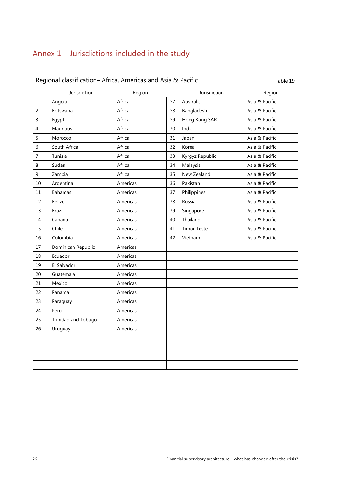### <span id="page-28-0"></span>Annex 1 – Jurisdictions included in the study

# Regional classification– Africa, Americas and Asia & Pacific Table 19 Jurisdiction Region Jurisdiction Region 1 Angola Africa 27 Australia Asia & Pacific 2 Botswana | Africa | 28 | Bangladesh | Asia & Pacific 3 Egypt | Africa | 29 | Hong Kong SAR | Asia & Pacific 4 | Mauritius | Africa | 30 | India | Asia & Pacific 5 Morocco Africa 31 Japan Asia & Pacific 6 South Africa Africa 32 Korea Asia & Pacific 7 Tunisia Africa 33 Kyrgyz Republic Asia & Pacific 8 Sudan Africa 34 Malaysia Asia & Pacific 9 Zambia Africa 35 New Zealand Asia & Pacific 10 Argentina Americas 36 Pakistan Asia & Pacific 11 | Bahamas | Americas | 37 | Philippines | Asia & Pacific 12 Belize Americas 138 Russia Asia & Pacific 13 | Brazil | Americas | 39 | Singapore | Asia & Pacific 14 | Canada | Americas 40 | Thailand Asia & Pacific 15 | Chile | Americas | 41 | Timor-Leste | Asia & Pacific 16 Colombia **Americas** Americas 142 Vietnam Asia & Pacific 17 | Dominican Republic | Americas 18 Ecuador Americas 19 | El Salvador | Americas 20 Guatemala Americas 21 Mexico Americas 22 Panama Americas 23 Paraguay **Americas** 24 Peru Americas 25 Trinidad and Tobago Americas 26 Uruguay **Americas**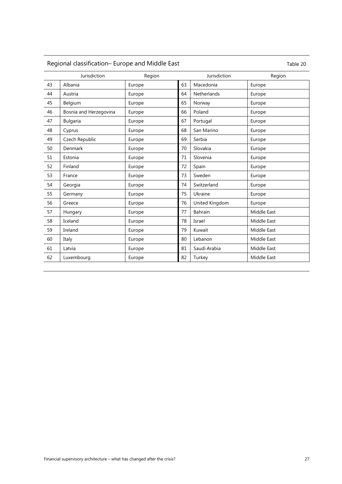# Regional classification– Europe and Middle East Table 20

|    | Jurisdiction           | Region |    | Jurisdiction   | Region      |
|----|------------------------|--------|----|----------------|-------------|
| 43 | Albania                | Europe | 63 | Macedonia      | Europe      |
| 44 | Austria                | Europe | 64 | Netherlands    | Europe      |
| 45 | Belgium                | Europe | 65 | Norway         | Europe      |
| 46 | Bosnia and Herzegovina | Europe | 66 | Poland         | Europe      |
| 47 | <b>Bulgaria</b>        | Europe | 67 | Portugal       | Europe      |
| 48 | Cyprus                 | Europe | 68 | San Marino     | Europe      |
| 49 | Czech Republic         | Europe | 69 | Serbia         | Europe      |
| 50 | Denmark                | Europe | 70 | Slovakia       | Europe      |
| 51 | Estonia                | Europe | 71 | Slovenia       | Europe      |
| 52 | Finland                | Europe | 72 | Spain          | Europe      |
| 53 | France                 | Europe | 73 | Sweden         | Europe      |
| 54 | Georgia                | Europe | 74 | Switzerland    | Europe      |
| 55 | Germany                | Europe | 75 | Ukraine        | Europe      |
| 56 | Greece                 | Europe | 76 | United Kingdom | Europe      |
| 57 | Hungary                | Europe | 77 | Bahrain        | Middle East |
| 58 | Iceland                | Europe | 78 | Israel         | Middle East |
| 59 | Ireland                | Europe | 79 | Kuwait         | Middle East |
| 60 | Italy                  | Europe | 80 | Lebanon        | Middle East |
| 61 | Latvia                 | Europe | 81 | Saudi Arabia   | Middle East |
| 62 | Luxembourg             | Europe | 82 | Turkey         | Middle East |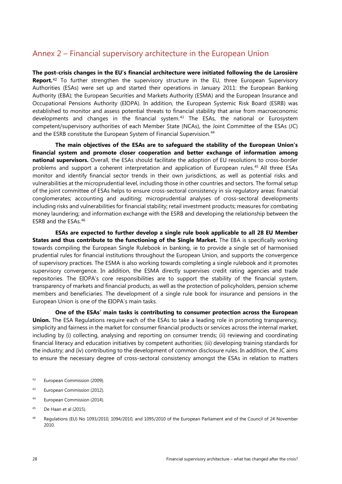### <span id="page-30-2"></span><span id="page-30-0"></span>Annex 2 – Financial supervisory architecture in the European Union

**The post-crisis changes in the EU's financial architecture were initiated following the de Larosière Report.**[42](#page-30-1) To further strengthen the supervisory structure in the EU, three European Supervisory Authorities (ESAs) were set up and started their operations in January 2011: the European Banking Authority (EBA); the European Securities and Markets Authority (ESMA) and the European Insurance and Occupational Pensions Authority (EIOPA). In addition, the European Systemic Risk Board (ESRB) was established to monitor and assess potential threats to financial stability that arise from macroeconomic developments and changes in the financial system.<sup>[43](#page-30-2)</sup> The ESAs, the national or Eurosystem competent/supervisory authorities of each Member State (NCAs), the Joint Committee of the ESAs (JC) and the ESRB constitute the European System of Financial Supervision.<sup>[44](#page-30-2)</sup>

**The main objectives of the ESAs are to safeguard the stability of the European Union's financial system and promote closer cooperation and better exchange of information among national supervisors.** Overall, the ESAs should facilitate the adoption of EU resolutions to cross-border problems and support a coherent interpretation and application of European rules.<sup>[45](#page-30-3)</sup> All three ESAs monitor and identify financial sector trends in their own jurisdictions, as well as potential risks and vulnerabilities at the microprudential level, including those in other countries and sectors. The formal setup of the joint committee of ESAs helps to ensure cross-sectoral consistency in six regulatory areas: financial conglomerates; accounting and auditing; microprudential analyses of cross-sectoral developments including risks and vulnerabilities for financial stability; retail investment products; measures for combating money laundering; and information exchange with the ESRB and developing the relationship between the ESRB and the ESAs.[46](#page-30-2)

**ESAs are expected to further develop a single rule book applicable to all 28 EU Member States and thus contribute to the functioning of the Single Market.** The EBA is specifically working towards compiling the European Single Rulebook in banking, ie to provide a single set of harmonised prudential rules for financial institutions throughout the European Union, and supports the convergence of supervisory practices. The ESMA is also working towards completing a single rulebook and it promotes supervisory convergence. In addition, the ESMA directly supervises credit rating agencies and trade repositories. The EIOPA's core responsibilities are to support the stability of the financial system, transparency of markets and financial products, as well as the protection of policyholders, pension scheme members and beneficiaries. The development of a single rule book for insurance and pensions in the European Union is one of the EIOPA's main tasks.

**One of the ESAs' main tasks is contributing to consumer protection across the European Union.** The ESA Regulations require each of the ESAs to take a leading role in promoting transparency, simplicity and fairness in the market for consumer financial products or services across the internal market, including by (i) collecting, analysing and reporting on consumer trends; (ii) reviewing and coordinating financial literacy and education initiatives by competent authorities; (iii) developing training standards for the industry; and (iv) contributing to the development of common disclosure rules. In addition, the JC aims to ensure the necessary degree of cross-sectoral consistency amongst the ESAs in relation to matters

- <span id="page-30-1"></span><sup>42</sup> European Commission (2009).
- <sup>43</sup> European Commission (2012).
- <sup>44</sup> European Commission (2014).
- <span id="page-30-3"></span> $45$  De Haan et al (2015).
- <sup>46</sup> Regulations (EU) No 1093/2010, 1094/2010, and 1095/2010 of the European Parliament and of the Council of 24 November 2010.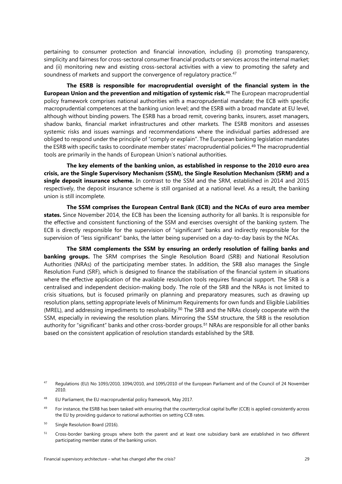<span id="page-31-2"></span>pertaining to consumer protection and financial innovation, including (i) promoting transparency, simplicity and fairness for cross-sectoral consumer financial products or services across the internal market; and (ii) monitoring new and existing cross-sectoral activities with a view to promoting the safety and soundness of markets and support the convergence of regulatory practice.<sup>[47](#page-31-0)</sup>

**The ESRB is responsible for macroprudential oversight of the financial system in the European Union and the prevention and mitigation of systemic risk.**[48](#page-31-1) The European macroprudential policy framework comprises national authorities with a macroprudential mandate; the ECB with specific macroprudential competences at the banking union level; and the ESRB with a broad mandate at EU level, although without binding powers. The ESRB has a broad remit, covering banks, insurers, asset managers, shadow banks, financial market infrastructures and other markets. The ESRB monitors and assesses systemic risks and issues warnings and recommendations where the individual parties addressed are obliged to respond under the principle of "comply or explain". The European banking legislation mandates the ESRB with specific tasks to coordinate member states' macroprudential policies.[49](#page-31-2) The macroprudential tools are primarily in the hands of European Union's national authorities.

**The key elements of the banking union, as established in response to the 2010 euro area crisis, are the Single Supervisory Mechanism (SSM), the Single Resolution Mechanism (SRM) and a single deposit insurance scheme.** In contrast to the SSM and the SRM, established in 2014 and 2015 respectively, the deposit insurance scheme is still organised at a national level. As a result, the banking union is still incomplete.

**The SSM comprises the European Central Bank (ECB) and the NCAs of euro area member states.** Since November 2014, the ECB has been the licensing authority for all banks. It is responsible for the effective and consistent functioning of the SSM and exercises oversight of the banking system. The ECB is directly responsible for the supervision of "significant" banks and indirectly responsible for the supervision of "less significant" banks, the latter being supervised on a day-to-day basis by the NCAs.

**The SRM complements the SSM by ensuring an orderly resolution of failing banks and banking groups.** The SRM comprises the Single Resolution Board (SRB) and National Resolution Authorities (NRAs) of the participating member states. In addition, the SRB also manages the Single Resolution Fund (SRF), which is designed to finance the stabilisation of the financial system in situations where the effective application of the available resolution tools requires financial support. The SRB is a centralised and independent decision-making body. The role of the SRB and the NRAs is not limited to crisis situations, but is focused primarily on planning and preparatory measures, such as drawing up resolution plans, setting appropriate levels of Minimum Requirements for own funds and Eligible Liabilities (MREL), and addressing impediments to resolvability.[50](#page-31-3) The SRB and the NRAs closely cooperate with the SSM, especially in reviewing the resolution plans. Mirroring the SSM structure, the SRB is the resolution authority for "significant" banks and other cross-border groups. [51](#page-31-2) NRAs are responsible for all other banks based on the consistent application of resolution standards established by the SRB.

<span id="page-31-0"></span><sup>&</sup>lt;sup>47</sup> Regulations (EU) No 1093/2010, 1094/2010, and 1095/2010 of the European Parliament and of the Council of 24 November 2010.

<span id="page-31-1"></span><sup>48</sup> EU Parliament, the EU macroprudential policy framework, May 2017.

<sup>&</sup>lt;sup>49</sup> For instance, the ESRB has been tasked with ensuring that the countercyclical capital buffer (CCB) is applied consistently across the EU by providing guidance to national authorities on setting CCB rates.

<span id="page-31-3"></span><sup>&</sup>lt;sup>50</sup> Single Resolution Board (2016).

<sup>&</sup>lt;sup>51</sup> Cross-border banking groups where both the parent and at least one subsidiary bank are established in two different participating member states of the banking union.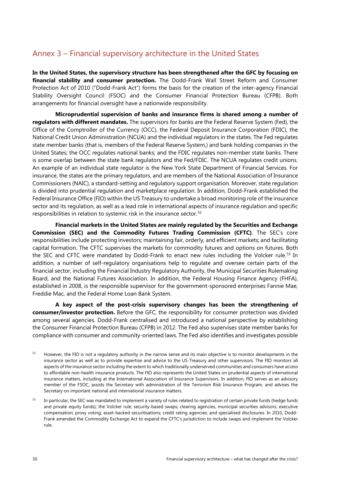### <span id="page-32-0"></span>Annex 3 – Financial supervisory architecture in the United States

**In the United States, the supervisory structure has been strengthened after the GFC by focusing on financial stability and consumer protection.** The Dodd-Frank Wall Street Reform and Consumer Protection Act of 2010 ("Dodd-Frank Act") forms the basis for the creation of the inter-agency Financial Stability Oversight Council (FSOC) and the Consumer Financial Protection Bureau (CFPB). Both arrangements for financial oversight have a nationwide responsibility.

**Microprudential supervision of banks and insurance firms is shared among a number of regulators with different mandates.** The supervisors for banks are the Federal Reserve System (Fed), the Office of the Comptroller of the Currency (OCC), the Federal Deposit Insurance Corporation (FDIC), the National Credit Union Administration (NCUA) and the individual regulators in the states. The Fed regulates state member banks (that is, members of the Federal Reserve System,) and bank holding companies in the United States; the OCC regulates national banks; and the FDIC regulates non-member state banks. There is some overlap between the state bank regulators and the Fed/FDIC. The NCUA regulates credit unions. An example of an individual state regulator is the New York State Department of Financial Services. For insurance, the states are the primary regulators, and are members of the National Association of Insurance Commissioners (NAIC), a standard-setting and regulatory support organisation. Moreover, state regulation is divided into prudential regulation and marketplace regulation. In addition, Dodd-Frank established the Federal Insurance Office (FIO) within the US Treasury to undertake a broad monitoring role of the insurance sector and its regulation, as well as a lead role in international aspects of insurance regulation and specific responsibilities in relation to systemic risk in the insurance sector. [52](#page-32-1)

**Financial markets in the United States are mainly regulated by the Securities and Exchange Commission (SEC) and the Commodity Futures Trading Commission (CFTC)**. The SEC's core responsibilities include protecting investors; maintaining fair, orderly, and efficient markets; and facilitating capital formation. The CFTC supervises the markets for commodity futures and options on futures. Both the SEC and CFTC were mandated by Dodd-Frank to enact new rules including the Volcker rule.<sup>[53](#page-32-2)</sup> In addition, a number of self-regulatory organisations help to regulate and oversee certain parts of the financial sector, including the Financial Industry Regulatory Authority, the Municipal Securities Rulemaking Board, and the National Futures Association. In addition, the Federal Housing Finance Agency (FHFA), established in 2008, is the responsible supervisor for the government-sponsored enterprises Fannie Mae, Freddie Mac, and the Federal Home Loan Bank System.

**A key aspect of the post-crisis supervisory changes has been the strengthening of consumer/investor protection.** Before the GFC, the responsibility for consumer protection was divided among several agencies. Dodd-Frank centralised and introduced a national perspective by establishing the Consumer Financial Protection Bureau (CFPB) in 2012. The Fed also supervises state member banks for compliance with consumer and community-oriented laws. The Fed also identifies and investigates possible

<span id="page-32-1"></span><sup>&</sup>lt;sup>52</sup> However, the FIO is not a regulatory authority in the narrow sense and its main objective is to monitor developments in the insurance sector as well as to provide expertise and advice to the US Treasury and other supervisors. The FIO monitors all aspects of the insurance sector including the extent to which traditionally underserved communities and consumers have access to affordable non-health insurance products. The FIO also represents the United States on prudential aspects of international insurance matters, including at the International Association of Insurance Supervisors. In addition, FIO serves as an advisory member of the FSOC, assists the Secretary with administration of the Terrorism Risk Insurance Program, and advises the Secretary on important national and international insurance matters.

<span id="page-32-2"></span><sup>&</sup>lt;sup>53</sup> In particular, the SEC was mandated to implement a variety of rules related to registration of certain private funds (hedge funds and private equity funds); the Volcker rule; security-based swaps; clearing agencies, municipal securities advisors; executive compensation; proxy voting; asset-backed securitisations; credit rating agencies; and specialised disclosures. In 2010, Dodd-Frank amended the Commodity Exchange Act to expand the CFTC's jurisdiction to include swaps and implement the Volcker rule.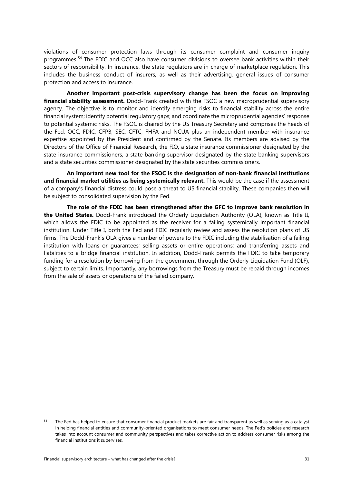violations of consumer protection laws through its consumer complaint and consumer inquiry programmes. [54](#page-33-0) The FDIC and OCC also have consumer divisions to oversee bank activities within their sectors of responsibility. In insurance, the state regulators are in charge of marketplace regulation. This includes the business conduct of insurers, as well as their advertising, general issues of consumer protection and access to insurance.

**Another important post-crisis supervisory change has been the focus on improving financial stability assessment.** Dodd-Frank created with the FSOC a new macroprudential supervisory agency. The objective is to monitor and identify emerging risks to financial stability across the entire financial system; identify potential regulatory gaps; and coordinate the microprudential agencies' response to potential systemic risks. The FSOC is chaired by the US Treasury Secretary and comprises the heads of the Fed, OCC, FDIC, CFPB, SEC, CFTC, FHFA and NCUA plus an independent member with insurance expertise appointed by the President and confirmed by the Senate. Its members are advised by the Directors of the Office of Financial Research, the FIO, [a state insurance commissioner](http://www.naic.org/Releases/2016_docs/fsoc_new_member_peter_hartt.htm) designated by the state insurance commissioners, [a state banking supervisor](https://www.csbs.org/north-carolina-commissioner-ray-grace-appointed) designated by the state banking supervisors and [a state securities commissioner](http://www.nasaa.org/37710/maryland-securities-commissioner-lubin-to-represent-nasaa-on-financial-stability-oversight-council/) designated by the state securities commissioners.

**An important new tool for the FSOC is the designation of non-bank financial institutions and financial market utilities as being systemically relevant.** This would be the case if the assessment of a company's financial distress could pose a threat to US financial stability. These companies then will be subject to consolidated supervision by the Fed.

**The role of the FDIC has been strengthened after the GFC to improve bank resolution in the United States.** Dodd-Frank introduced the Orderly Liquidation Authority (OLA), known as Title II, which allows the FDIC to be appointed as the receiver for a failing systemically important financial institution. Under Title I, both the Fed and FDIC regularly review and assess the resolution plans of US firms. The Dodd-Frank's OLA gives a number of powers to the FDIC including the stabilisation of a failing institution with loans or guarantees; selling assets or entire operations; and transferring assets and liabilities to a bridge financial institution. In addition, Dodd-Frank permits the FDIC to take temporary funding for a resolution by borrowing from the government through the Orderly Liquidation Fund (OLF), subject to certain limits. Importantly, any borrowings from the Treasury must be repaid through incomes from the sale of assets or operations of the failed company.

<span id="page-33-0"></span>The Fed has helped to ensure that consumer financial product markets are fair and transparent as well as serving as a catalyst in helping financial entities and community-oriented organisations to meet consumer needs. The Fed's policies and research takes into account consumer and community perspectives and takes corrective action to address consumer risks among the financial institutions it supervises.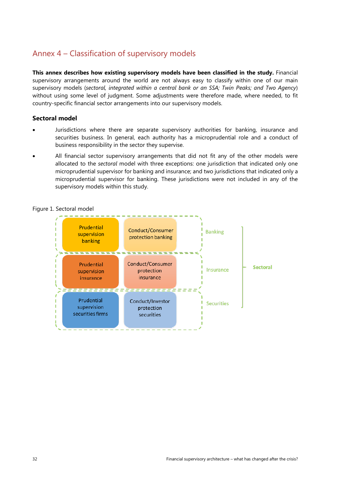### <span id="page-34-0"></span>Annex 4 – Classification of supervisory models

**This annex describes how existing supervisory models have been classified in the study.** Financial supervisory arrangements around the world are not always easy to classify within one of our main supervisory models (*sectoral, integrated within a central bank or an SSA; Twin Peaks; and Two Agency*) without using some level of judgment. Some adjustments were therefore made, where needed, to fit country-specific financial sector arrangements into our supervisory models.

#### **Sectoral model**

- Jurisdictions where there are separate supervisory authorities for banking, insurance and securities business. In general, each authority has a microprudential role and a conduct of business responsibility in the sector they supervise.
- All financial sector supervisory arrangements that did not fit any of the other models were allocated to the *sectoral* model with three exceptions: one jurisdiction that indicated only one microprudential supervisor for banking and insurance; and two jurisdictions that indicated only a microprudential supervisor for banking. These jurisdictions were not included in any of the supervisory models within this study.



#### Figure 1. Sectoral model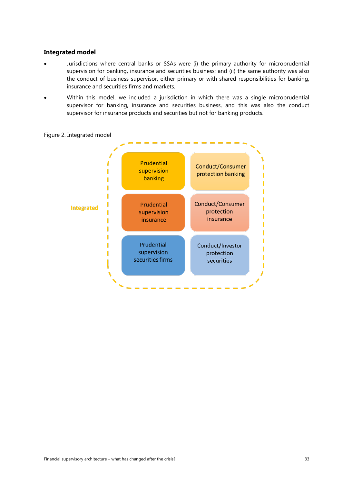#### **Integrated model**

- Jurisdictions where central banks or SSAs were (i) the primary authority for microprudential supervision for banking, insurance and securities business; and (ii) the same authority was also the conduct of business supervisor, either primary or with shared responsibilities for banking, insurance and securities firms and markets.
- Within this model, we included a jurisdiction in which there was a single microprudential supervisor for banking, insurance and securities business, and this was also the conduct supervisor for insurance products and securities but not for banking products.



Figure 2. Integrated model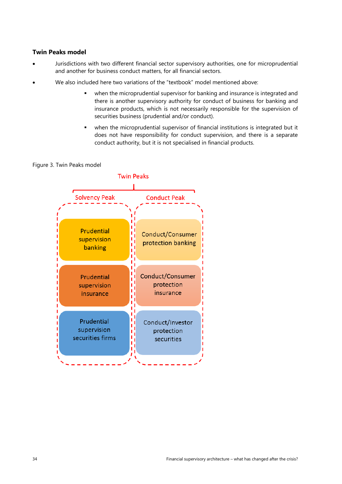#### **Twin Peaks model**

- Jurisdictions with two different financial sector supervisory authorities, one for microprudential and another for business conduct matters, for all financial sectors.
- We also included here two variations of the "textbook" model mentioned above:
	- when the microprudential supervisor for banking and insurance is integrated and there is another supervisory authority for conduct of business for banking and insurance products, which is not necessarily responsible for the supervision of securities business (prudential and/or conduct).
	- when the microprudential supervisor of financial institutions is integrated but it does not have responsibility for conduct supervision, and there is a separate conduct authority, but it is not specialised in financial products.

#### Figure 3. Twin Peaks model

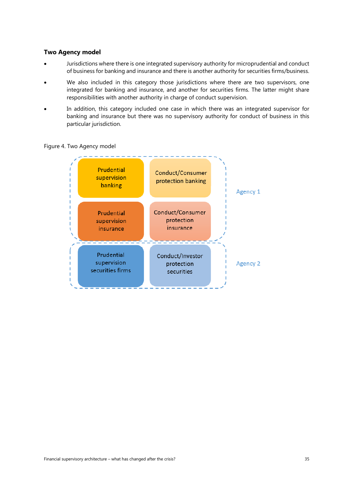#### **Two Agency model**

- Jurisdictions where there is one integrated supervisory authority for microprudential and conduct of business for banking and insurance and there is another authority for securities firms/business.
- We also included in this category those jurisdictions where there are two supervisors, one integrated for banking and insurance, and another for securities firms. The latter might share responsibilities with another authority in charge of conduct supervision.
- In addition, this category included one case in which there was an integrated supervisor for banking and insurance but there was no supervisory authority for conduct of business in this particular jurisdiction.



#### Figure 4. Two Agency model